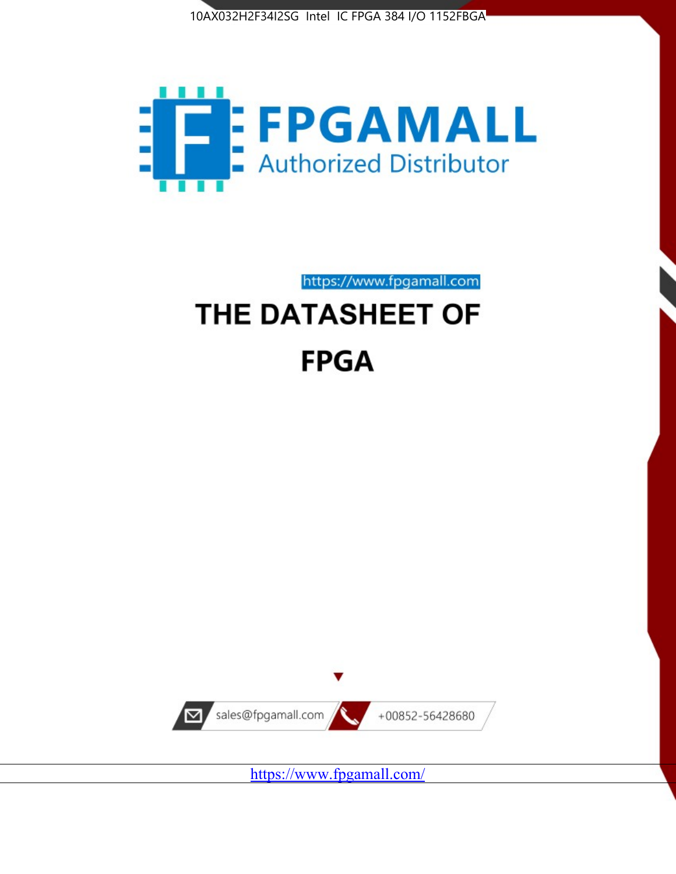



https://www.fpgamall.com THE DATASHEET OF

# **FPGA**



<https://www.fpgamall.com/>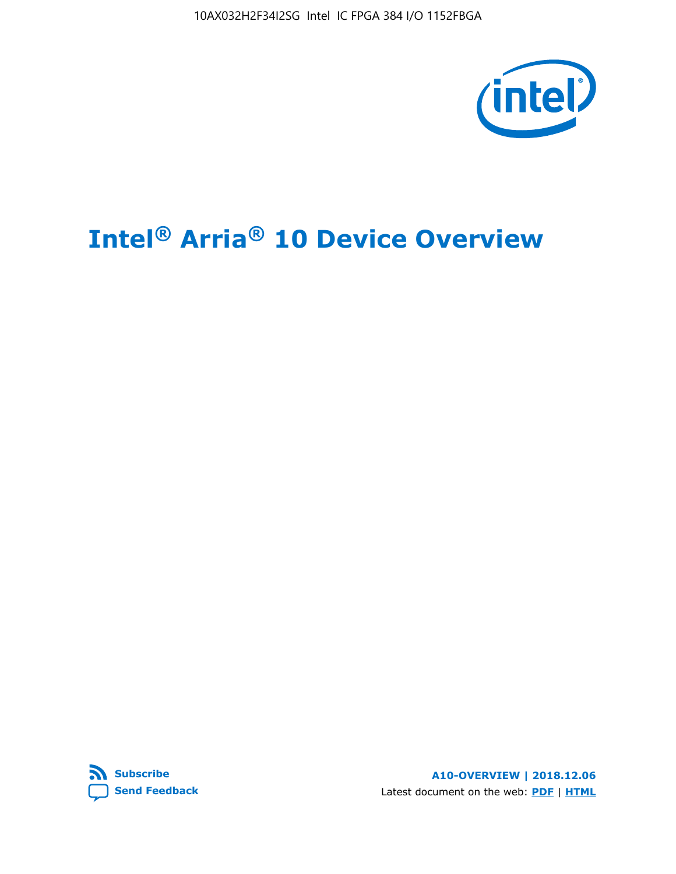

# **Intel® Arria® 10 Device Overview**



**A10-OVERVIEW | 2018.12.06** Latest document on the web: **[PDF](https://www.intel.com/content/dam/www/programmable/us/en/pdfs/literature/hb/arria-10/a10_overview.pdf)** | **[HTML](https://www.intel.com/content/www/us/en/programmable/documentation/sam1403480274650.html)**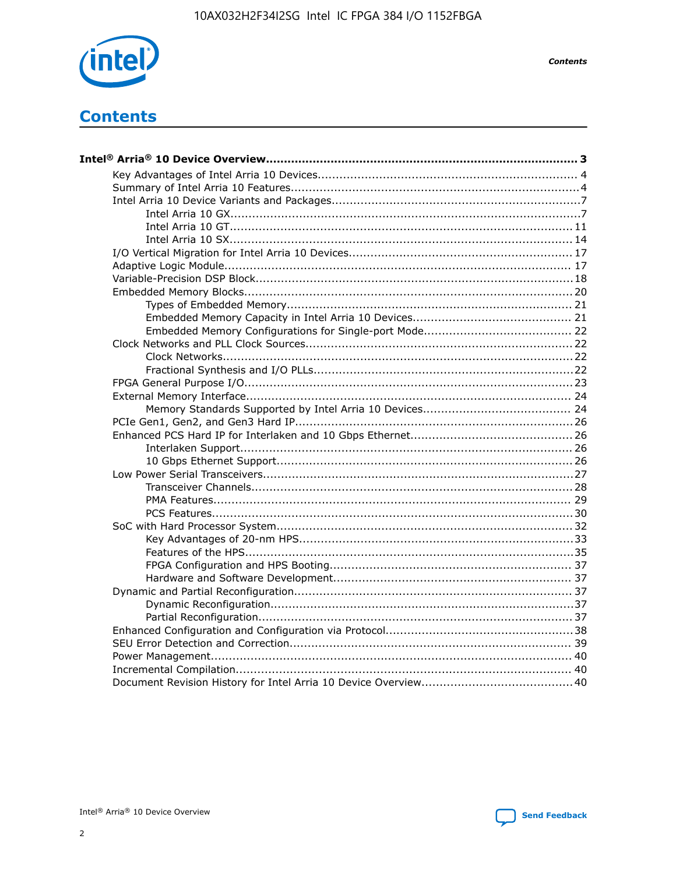

**Contents** 

# **Contents**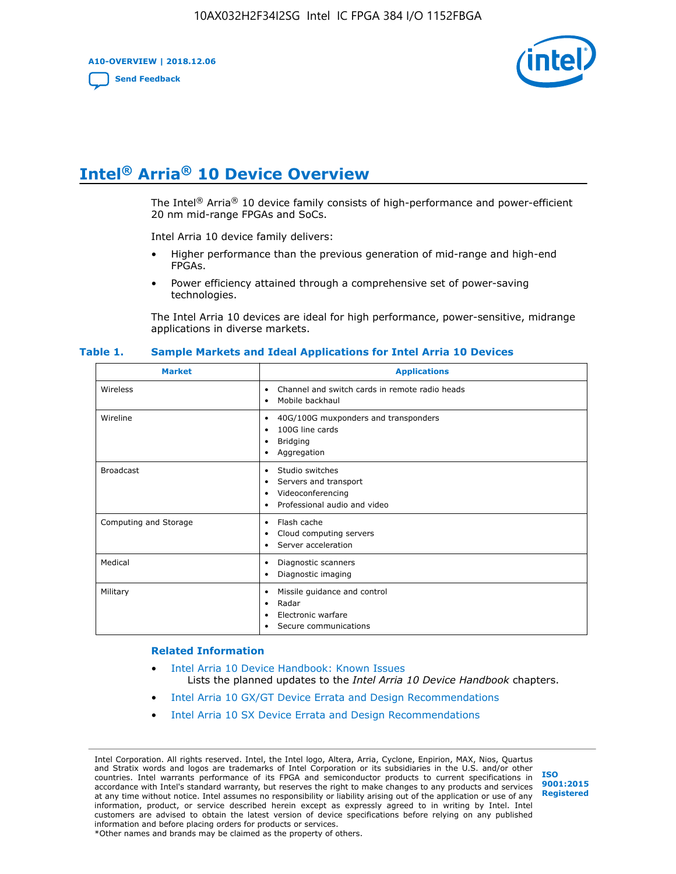**A10-OVERVIEW | 2018.12.06**

**[Send Feedback](mailto:FPGAtechdocfeedback@intel.com?subject=Feedback%20on%20Intel%20Arria%2010%20Device%20Overview%20(A10-OVERVIEW%202018.12.06)&body=We%20appreciate%20your%20feedback.%20In%20your%20comments,%20also%20specify%20the%20page%20number%20or%20paragraph.%20Thank%20you.)**



# **Intel® Arria® 10 Device Overview**

The Intel<sup>®</sup> Arria<sup>®</sup> 10 device family consists of high-performance and power-efficient 20 nm mid-range FPGAs and SoCs.

Intel Arria 10 device family delivers:

- Higher performance than the previous generation of mid-range and high-end FPGAs.
- Power efficiency attained through a comprehensive set of power-saving technologies.

The Intel Arria 10 devices are ideal for high performance, power-sensitive, midrange applications in diverse markets.

| <b>Market</b>         | <b>Applications</b>                                                                                               |
|-----------------------|-------------------------------------------------------------------------------------------------------------------|
| Wireless              | Channel and switch cards in remote radio heads<br>٠<br>Mobile backhaul<br>٠                                       |
| Wireline              | 40G/100G muxponders and transponders<br>٠<br>100G line cards<br>٠<br>Bridging<br>٠<br>Aggregation<br>٠            |
| <b>Broadcast</b>      | Studio switches<br>٠<br>Servers and transport<br>٠<br>Videoconferencing<br>٠<br>Professional audio and video<br>٠ |
| Computing and Storage | Flash cache<br>٠<br>Cloud computing servers<br>٠<br>Server acceleration<br>$\bullet$                              |
| Medical               | Diagnostic scanners<br>٠<br>Diagnostic imaging<br>٠                                                               |
| Military              | Missile guidance and control<br>٠<br>Radar<br>٠<br>Electronic warfare<br>٠<br>Secure communications<br>٠          |

#### **Table 1. Sample Markets and Ideal Applications for Intel Arria 10 Devices**

#### **Related Information**

- [Intel Arria 10 Device Handbook: Known Issues](http://www.altera.com/support/kdb/solutions/rd07302013_646.html) Lists the planned updates to the *Intel Arria 10 Device Handbook* chapters.
- [Intel Arria 10 GX/GT Device Errata and Design Recommendations](https://www.intel.com/content/www/us/en/programmable/documentation/agz1493851706374.html#yqz1494433888646)
- [Intel Arria 10 SX Device Errata and Design Recommendations](https://www.intel.com/content/www/us/en/programmable/documentation/cru1462832385668.html#cru1462832558642)

Intel Corporation. All rights reserved. Intel, the Intel logo, Altera, Arria, Cyclone, Enpirion, MAX, Nios, Quartus and Stratix words and logos are trademarks of Intel Corporation or its subsidiaries in the U.S. and/or other countries. Intel warrants performance of its FPGA and semiconductor products to current specifications in accordance with Intel's standard warranty, but reserves the right to make changes to any products and services at any time without notice. Intel assumes no responsibility or liability arising out of the application or use of any information, product, or service described herein except as expressly agreed to in writing by Intel. Intel customers are advised to obtain the latest version of device specifications before relying on any published information and before placing orders for products or services. \*Other names and brands may be claimed as the property of others.

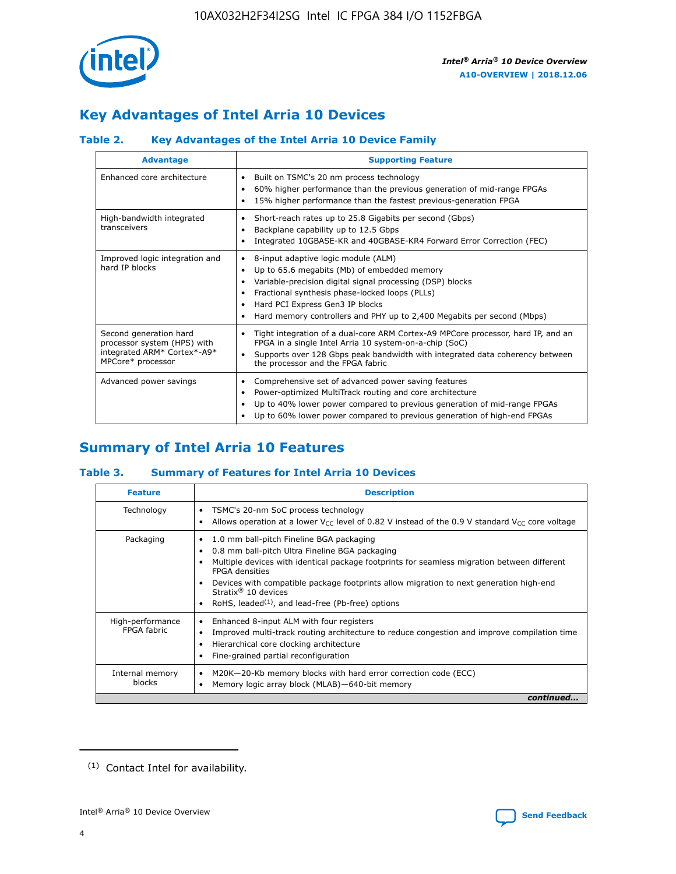

# **Key Advantages of Intel Arria 10 Devices**

#### **Table 2. Key Advantages of the Intel Arria 10 Device Family**

| <b>Advantage</b>                                                                                          | <b>Supporting Feature</b>                                                                                                                                                                                                                                                                                                |
|-----------------------------------------------------------------------------------------------------------|--------------------------------------------------------------------------------------------------------------------------------------------------------------------------------------------------------------------------------------------------------------------------------------------------------------------------|
| Enhanced core architecture                                                                                | Built on TSMC's 20 nm process technology<br>٠<br>60% higher performance than the previous generation of mid-range FPGAs<br>٠<br>15% higher performance than the fastest previous-generation FPGA<br>٠                                                                                                                    |
| High-bandwidth integrated<br>transceivers                                                                 | Short-reach rates up to 25.8 Gigabits per second (Gbps)<br>٠<br>Backplane capability up to 12.5 Gbps<br>٠<br>Integrated 10GBASE-KR and 40GBASE-KR4 Forward Error Correction (FEC)<br>٠                                                                                                                                   |
| Improved logic integration and<br>hard IP blocks                                                          | 8-input adaptive logic module (ALM)<br>٠<br>Up to 65.6 megabits (Mb) of embedded memory<br>٠<br>Variable-precision digital signal processing (DSP) blocks<br>Fractional synthesis phase-locked loops (PLLs)<br>Hard PCI Express Gen3 IP blocks<br>Hard memory controllers and PHY up to 2,400 Megabits per second (Mbps) |
| Second generation hard<br>processor system (HPS) with<br>integrated ARM* Cortex*-A9*<br>MPCore* processor | Tight integration of a dual-core ARM Cortex-A9 MPCore processor, hard IP, and an<br>٠<br>FPGA in a single Intel Arria 10 system-on-a-chip (SoC)<br>Supports over 128 Gbps peak bandwidth with integrated data coherency between<br>$\bullet$<br>the processor and the FPGA fabric                                        |
| Advanced power savings                                                                                    | Comprehensive set of advanced power saving features<br>٠<br>Power-optimized MultiTrack routing and core architecture<br>٠<br>Up to 40% lower power compared to previous generation of mid-range FPGAs<br>Up to 60% lower power compared to previous generation of high-end FPGAs                                         |

# **Summary of Intel Arria 10 Features**

#### **Table 3. Summary of Features for Intel Arria 10 Devices**

| <b>Feature</b>                  | <b>Description</b>                                                                                                                                                                                                                                                                                                                                                                                 |
|---------------------------------|----------------------------------------------------------------------------------------------------------------------------------------------------------------------------------------------------------------------------------------------------------------------------------------------------------------------------------------------------------------------------------------------------|
| Technology                      | TSMC's 20-nm SoC process technology<br>Allows operation at a lower $V_{\text{CC}}$ level of 0.82 V instead of the 0.9 V standard $V_{\text{CC}}$ core voltage                                                                                                                                                                                                                                      |
| Packaging                       | 1.0 mm ball-pitch Fineline BGA packaging<br>٠<br>0.8 mm ball-pitch Ultra Fineline BGA packaging<br>Multiple devices with identical package footprints for seamless migration between different<br><b>FPGA</b> densities<br>Devices with compatible package footprints allow migration to next generation high-end<br>Stratix $@10$ devices<br>RoHS, leaded $(1)$ , and lead-free (Pb-free) options |
| High-performance<br>FPGA fabric | Enhanced 8-input ALM with four registers<br>Improved multi-track routing architecture to reduce congestion and improve compilation time<br>Hierarchical core clocking architecture<br>Fine-grained partial reconfiguration                                                                                                                                                                         |
| Internal memory<br>blocks       | M20K-20-Kb memory blocks with hard error correction code (ECC)<br>Memory logic array block (MLAB)-640-bit memory                                                                                                                                                                                                                                                                                   |
|                                 | continued                                                                                                                                                                                                                                                                                                                                                                                          |



<sup>(1)</sup> Contact Intel for availability.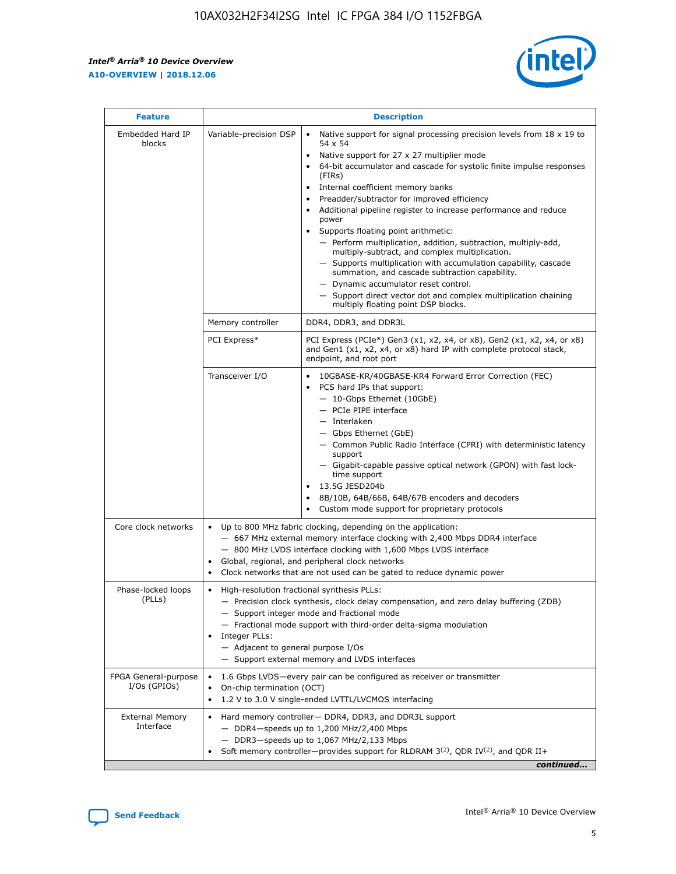r



| <b>Feature</b>                         |                                                                                                                | <b>Description</b>                                                                                                                                                                                                                                                                                                                                                                                                                                                                                                                                                                                                                                                                                                                                                                                                                                               |  |  |  |  |  |  |
|----------------------------------------|----------------------------------------------------------------------------------------------------------------|------------------------------------------------------------------------------------------------------------------------------------------------------------------------------------------------------------------------------------------------------------------------------------------------------------------------------------------------------------------------------------------------------------------------------------------------------------------------------------------------------------------------------------------------------------------------------------------------------------------------------------------------------------------------------------------------------------------------------------------------------------------------------------------------------------------------------------------------------------------|--|--|--|--|--|--|
| Embedded Hard IP<br>blocks             | Variable-precision DSP                                                                                         | Native support for signal processing precision levels from $18 \times 19$ to<br>$\bullet$<br>54 x 54<br>Native support for 27 x 27 multiplier mode<br>$\bullet$<br>64-bit accumulator and cascade for systolic finite impulse responses<br>(FIRs)<br>Internal coefficient memory banks<br>$\bullet$<br>Preadder/subtractor for improved efficiency<br>Additional pipeline register to increase performance and reduce<br>power<br>Supports floating point arithmetic:<br>- Perform multiplication, addition, subtraction, multiply-add,<br>multiply-subtract, and complex multiplication.<br>- Supports multiplication with accumulation capability, cascade<br>summation, and cascade subtraction capability.<br>- Dynamic accumulator reset control.<br>- Support direct vector dot and complex multiplication chaining<br>multiply floating point DSP blocks. |  |  |  |  |  |  |
|                                        | Memory controller                                                                                              | DDR4, DDR3, and DDR3L                                                                                                                                                                                                                                                                                                                                                                                                                                                                                                                                                                                                                                                                                                                                                                                                                                            |  |  |  |  |  |  |
|                                        | PCI Express*                                                                                                   | PCI Express (PCIe*) Gen3 (x1, x2, x4, or x8), Gen2 (x1, x2, x4, or x8)<br>and Gen1 (x1, x2, x4, or x8) hard IP with complete protocol stack,<br>endpoint, and root port                                                                                                                                                                                                                                                                                                                                                                                                                                                                                                                                                                                                                                                                                          |  |  |  |  |  |  |
|                                        | Transceiver I/O                                                                                                | 10GBASE-KR/40GBASE-KR4 Forward Error Correction (FEC)<br>PCS hard IPs that support:<br>- 10-Gbps Ethernet (10GbE)<br>- PCIe PIPE interface<br>- Interlaken<br>- Gbps Ethernet (GbE)<br>- Common Public Radio Interface (CPRI) with deterministic latency<br>support<br>- Gigabit-capable passive optical network (GPON) with fast lock-<br>time support<br>13.5G JESD204b<br>$\bullet$<br>8B/10B, 64B/66B, 64B/67B encoders and decoders<br>Custom mode support for proprietary protocols                                                                                                                                                                                                                                                                                                                                                                        |  |  |  |  |  |  |
| Core clock networks                    | $\bullet$                                                                                                      | Up to 800 MHz fabric clocking, depending on the application:<br>- 667 MHz external memory interface clocking with 2,400 Mbps DDR4 interface<br>- 800 MHz LVDS interface clocking with 1,600 Mbps LVDS interface<br>Global, regional, and peripheral clock networks<br>Clock networks that are not used can be gated to reduce dynamic power                                                                                                                                                                                                                                                                                                                                                                                                                                                                                                                      |  |  |  |  |  |  |
| Phase-locked loops<br>(PLLs)           | High-resolution fractional synthesis PLLs:<br>$\bullet$<br>Integer PLLs:<br>- Adjacent to general purpose I/Os | - Precision clock synthesis, clock delay compensation, and zero delay buffering (ZDB)<br>- Support integer mode and fractional mode<br>- Fractional mode support with third-order delta-sigma modulation<br>- Support external memory and LVDS interfaces                                                                                                                                                                                                                                                                                                                                                                                                                                                                                                                                                                                                        |  |  |  |  |  |  |
| FPGA General-purpose<br>$I/Os$ (GPIOs) | On-chip termination (OCT)<br>٠<br>$\bullet$                                                                    | 1.6 Gbps LVDS-every pair can be configured as receiver or transmitter<br>1.2 V to 3.0 V single-ended LVTTL/LVCMOS interfacing                                                                                                                                                                                                                                                                                                                                                                                                                                                                                                                                                                                                                                                                                                                                    |  |  |  |  |  |  |
| <b>External Memory</b><br>Interface    | $\bullet$                                                                                                      | Hard memory controller- DDR4, DDR3, and DDR3L support<br>$-$ DDR4-speeds up to 1,200 MHz/2,400 Mbps<br>- DDR3-speeds up to 1,067 MHz/2,133 Mbps<br>Soft memory controller—provides support for RLDRAM $3^{(2)}$ , QDR IV $^{(2)}$ , and QDR II+<br>continued                                                                                                                                                                                                                                                                                                                                                                                                                                                                                                                                                                                                     |  |  |  |  |  |  |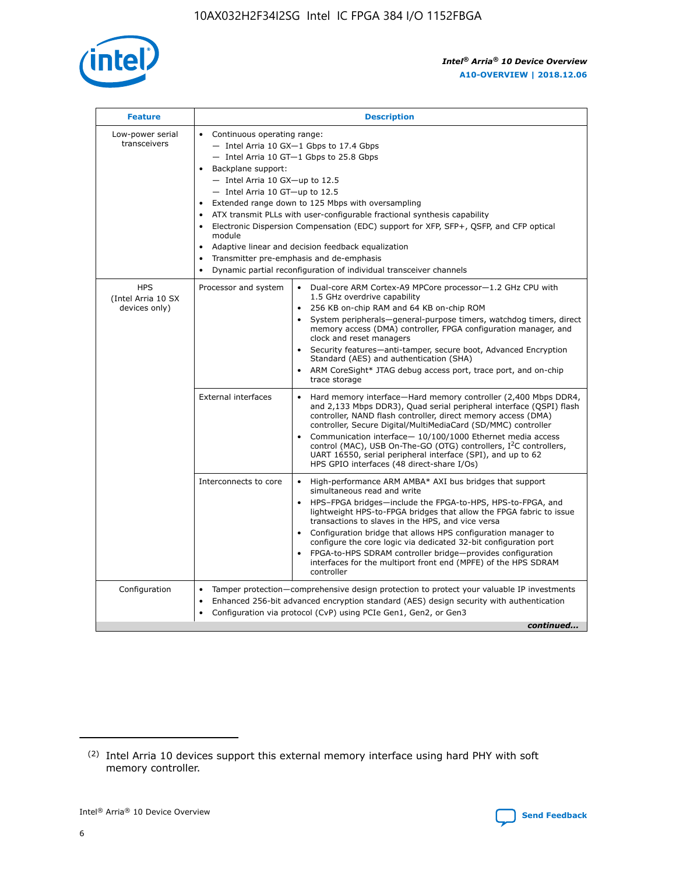

| <b>Feature</b>                                    | <b>Description</b>                                                                                                                                                                                                                                                                                                                                                                                                                                                                                                                                                                                                                                                        |
|---------------------------------------------------|---------------------------------------------------------------------------------------------------------------------------------------------------------------------------------------------------------------------------------------------------------------------------------------------------------------------------------------------------------------------------------------------------------------------------------------------------------------------------------------------------------------------------------------------------------------------------------------------------------------------------------------------------------------------------|
| Low-power serial<br>transceivers                  | • Continuous operating range:<br>- Intel Arria 10 GX-1 Gbps to 17.4 Gbps<br>$-$ Intel Arria 10 GT $-1$ Gbps to 25.8 Gbps<br>Backplane support:<br>$\bullet$<br>$-$ Intel Arria 10 GX-up to 12.5<br>$-$ Intel Arria 10 GT-up to 12.5<br>Extended range down to 125 Mbps with oversampling<br>ATX transmit PLLs with user-configurable fractional synthesis capability<br>Electronic Dispersion Compensation (EDC) support for XFP, SFP+, OSFP, and CFP optical<br>module<br>Adaptive linear and decision feedback equalization<br>$\bullet$<br>Transmitter pre-emphasis and de-emphasis<br>$\bullet$<br>Dynamic partial reconfiguration of individual transceiver channels |
| <b>HPS</b><br>(Intel Arria 10 SX<br>devices only) | Dual-core ARM Cortex-A9 MPCore processor-1.2 GHz CPU with<br>Processor and system<br>$\bullet$<br>1.5 GHz overdrive capability<br>256 KB on-chip RAM and 64 KB on-chip ROM<br>System peripherals-general-purpose timers, watchdog timers, direct<br>memory access (DMA) controller, FPGA configuration manager, and<br>clock and reset managers<br>• Security features—anti-tamper, secure boot, Advanced Encryption<br>Standard (AES) and authentication (SHA)<br>ARM CoreSight* JTAG debug access port, trace port, and on-chip<br>$\bullet$<br>trace storage                                                                                                           |
|                                                   | <b>External interfaces</b><br>Hard memory interface—Hard memory controller (2,400 Mbps DDR4,<br>and 2,133 Mbps DDR3), Quad serial peripheral interface (QSPI) flash<br>controller, NAND flash controller, direct memory access (DMA)<br>controller, Secure Digital/MultiMediaCard (SD/MMC) controller<br>Communication interface-10/100/1000 Ethernet media access<br>$\bullet$<br>control (MAC), USB On-The-GO (OTG) controllers, I <sup>2</sup> C controllers,<br>UART 16550, serial peripheral interface (SPI), and up to 62<br>HPS GPIO interfaces (48 direct-share I/Os)                                                                                             |
|                                                   | Interconnects to core<br>• High-performance ARM AMBA* AXI bus bridges that support<br>simultaneous read and write<br>HPS-FPGA bridges-include the FPGA-to-HPS, HPS-to-FPGA, and<br>$\bullet$<br>lightweight HPS-to-FPGA bridges that allow the FPGA fabric to issue<br>transactions to slaves in the HPS, and vice versa<br>Configuration bridge that allows HPS configuration manager to<br>configure the core logic via dedicated 32-bit configuration port<br>FPGA-to-HPS SDRAM controller bridge-provides configuration<br>interfaces for the multiport front end (MPFE) of the HPS SDRAM<br>controller                                                               |
| Configuration                                     | Tamper protection—comprehensive design protection to protect your valuable IP investments<br>Enhanced 256-bit advanced encryption standard (AES) design security with authentication<br>$\bullet$<br>Configuration via protocol (CvP) using PCIe Gen1, Gen2, or Gen3<br>continued                                                                                                                                                                                                                                                                                                                                                                                         |

<sup>(2)</sup> Intel Arria 10 devices support this external memory interface using hard PHY with soft memory controller.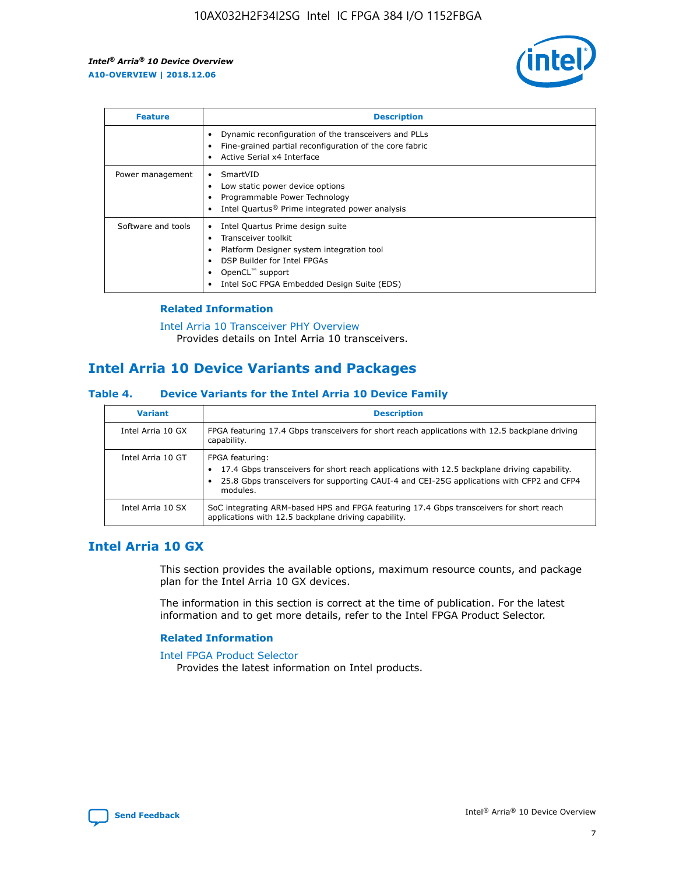

| <b>Feature</b>     | <b>Description</b>                                                                                                                                                                                               |
|--------------------|------------------------------------------------------------------------------------------------------------------------------------------------------------------------------------------------------------------|
|                    | Dynamic reconfiguration of the transceivers and PLLs<br>Fine-grained partial reconfiguration of the core fabric<br>Active Serial x4 Interface<br>$\bullet$                                                       |
| Power management   | SmartVID<br>Low static power device options<br>Programmable Power Technology<br>Intel Quartus <sup>®</sup> Prime integrated power analysis                                                                       |
| Software and tools | Intel Quartus Prime design suite<br>Transceiver toolkit<br>Platform Designer system integration tool<br>DSP Builder for Intel FPGAs<br>OpenCL <sup>™</sup> support<br>Intel SoC FPGA Embedded Design Suite (EDS) |

#### **Related Information**

[Intel Arria 10 Transceiver PHY Overview](https://www.intel.com/content/www/us/en/programmable/documentation/nik1398707230472.html#nik1398706768037) Provides details on Intel Arria 10 transceivers.

# **Intel Arria 10 Device Variants and Packages**

#### **Table 4. Device Variants for the Intel Arria 10 Device Family**

| <b>Variant</b>    | <b>Description</b>                                                                                                                                                                                                     |
|-------------------|------------------------------------------------------------------------------------------------------------------------------------------------------------------------------------------------------------------------|
| Intel Arria 10 GX | FPGA featuring 17.4 Gbps transceivers for short reach applications with 12.5 backplane driving<br>capability.                                                                                                          |
| Intel Arria 10 GT | FPGA featuring:<br>17.4 Gbps transceivers for short reach applications with 12.5 backplane driving capability.<br>25.8 Gbps transceivers for supporting CAUI-4 and CEI-25G applications with CFP2 and CFP4<br>modules. |
| Intel Arria 10 SX | SoC integrating ARM-based HPS and FPGA featuring 17.4 Gbps transceivers for short reach<br>applications with 12.5 backplane driving capability.                                                                        |

#### **Intel Arria 10 GX**

This section provides the available options, maximum resource counts, and package plan for the Intel Arria 10 GX devices.

The information in this section is correct at the time of publication. For the latest information and to get more details, refer to the Intel FPGA Product Selector.

#### **Related Information**

#### [Intel FPGA Product Selector](http://www.altera.com/products/selector/psg-selector.html) Provides the latest information on Intel products.

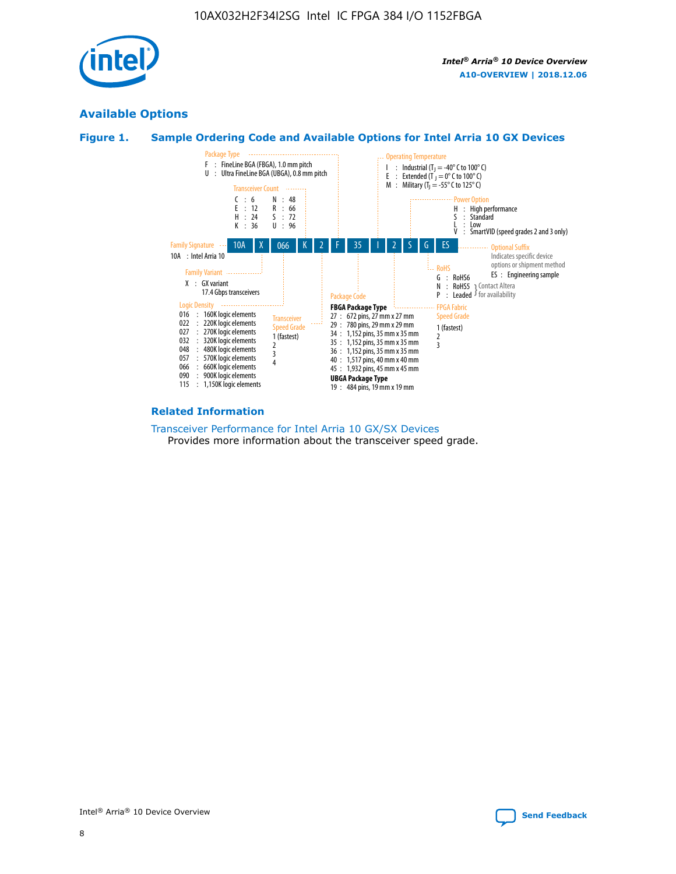

#### **Available Options**





#### **Related Information**

[Transceiver Performance for Intel Arria 10 GX/SX Devices](https://www.intel.com/content/www/us/en/programmable/documentation/mcn1413182292568.html#mcn1413213965502) Provides more information about the transceiver speed grade.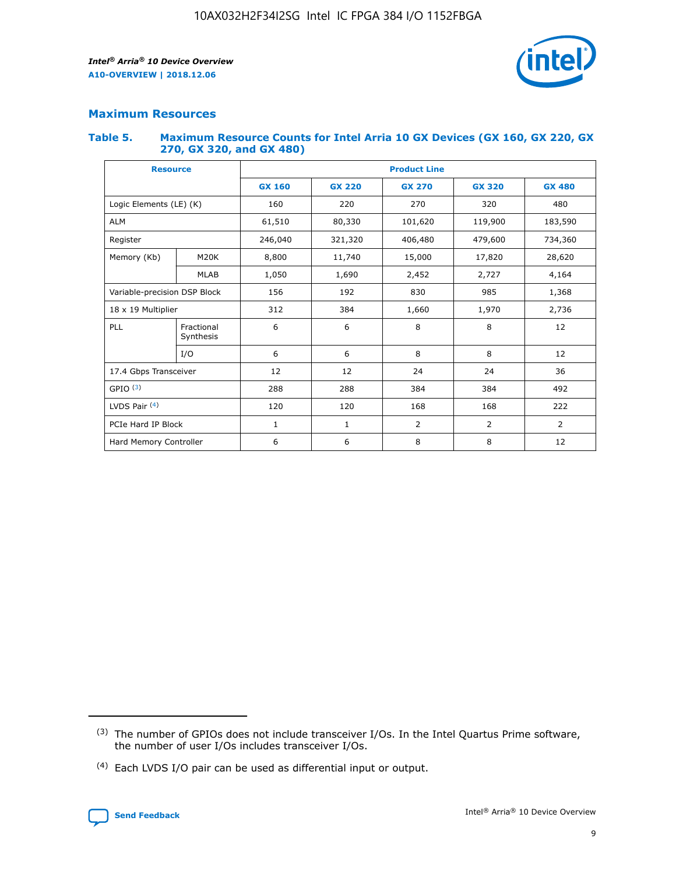

#### **Maximum Resources**

#### **Table 5. Maximum Resource Counts for Intel Arria 10 GX Devices (GX 160, GX 220, GX 270, GX 320, and GX 480)**

| <b>Resource</b>         |                                                          | <b>Product Line</b> |                  |                    |                |                |  |  |  |
|-------------------------|----------------------------------------------------------|---------------------|------------------|--------------------|----------------|----------------|--|--|--|
|                         |                                                          | <b>GX 160</b>       | <b>GX 220</b>    | <b>GX 270</b>      | <b>GX 320</b>  | <b>GX 480</b>  |  |  |  |
| Logic Elements (LE) (K) |                                                          | 160                 | 220              | 270                | 320            | 480            |  |  |  |
| <b>ALM</b>              |                                                          | 61,510              | 80,330           | 101,620            | 119,900        | 183,590        |  |  |  |
| Register                |                                                          | 246,040             | 321,320          | 406,480<br>479,600 |                | 734,360        |  |  |  |
| Memory (Kb)             | M <sub>20</sub> K                                        | 8,800               | 11,740<br>15,000 |                    | 17,820         | 28,620         |  |  |  |
| <b>MLAB</b>             |                                                          | 1,050               | 1,690            | 2,452              | 2,727          | 4,164          |  |  |  |
|                         | Variable-precision DSP Block<br>156<br>192<br>830<br>985 |                     |                  |                    |                | 1,368          |  |  |  |
| 18 x 19 Multiplier      |                                                          | 312                 | 384              | 1,970<br>1,660     |                | 2,736          |  |  |  |
| PLL                     | Fractional<br>Synthesis                                  | 6                   | 6                | 8                  | 8              | 12             |  |  |  |
|                         | I/O                                                      | 6                   | 6                | 8                  | 8              | 12             |  |  |  |
| 17.4 Gbps Transceiver   |                                                          | 12                  | 12               | 24                 | 24             | 36             |  |  |  |
| GPIO <sup>(3)</sup>     |                                                          | 288                 | 288              | 384<br>384         |                | 492            |  |  |  |
| LVDS Pair $(4)$         |                                                          | 120                 | 120              | 168                | 168            | 222            |  |  |  |
| PCIe Hard IP Block      |                                                          | 1                   | 1                | 2                  | $\overline{2}$ | $\overline{2}$ |  |  |  |
| Hard Memory Controller  |                                                          | 6                   | 6                | 8                  | 8              | 12             |  |  |  |

<sup>(4)</sup> Each LVDS I/O pair can be used as differential input or output.



<sup>(3)</sup> The number of GPIOs does not include transceiver I/Os. In the Intel Quartus Prime software, the number of user I/Os includes transceiver I/Os.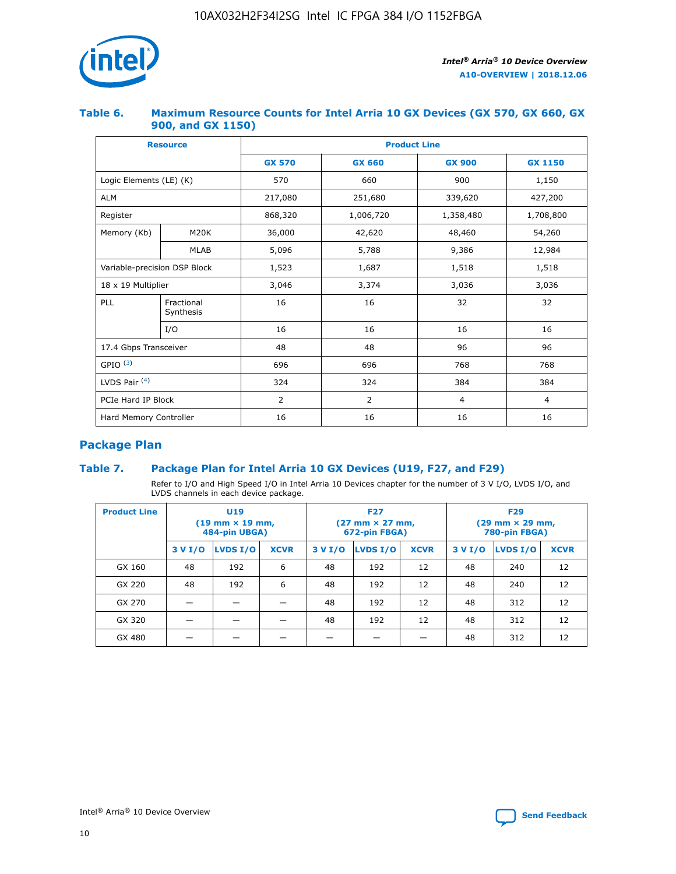

#### **Table 6. Maximum Resource Counts for Intel Arria 10 GX Devices (GX 570, GX 660, GX 900, and GX 1150)**

|                              | <b>Resource</b>         | <b>Product Line</b> |                |                |                |  |  |  |
|------------------------------|-------------------------|---------------------|----------------|----------------|----------------|--|--|--|
|                              |                         | <b>GX 570</b>       | <b>GX 660</b>  | <b>GX 900</b>  | <b>GX 1150</b> |  |  |  |
| Logic Elements (LE) (K)      |                         | 570                 | 660            | 900            | 1,150          |  |  |  |
| <b>ALM</b>                   |                         | 217,080             | 251,680        | 339,620        | 427,200        |  |  |  |
| Register                     |                         | 868,320             | 1,006,720      | 1,358,480      | 1,708,800      |  |  |  |
| Memory (Kb)                  | <b>M20K</b>             | 36,000              | 42,620         | 48,460         | 54,260         |  |  |  |
|                              | <b>MLAB</b>             | 5,096               | 5,788          | 9,386          | 12,984         |  |  |  |
| Variable-precision DSP Block |                         | 1,523               | 1,687          | 1,518          | 1,518          |  |  |  |
|                              | 18 x 19 Multiplier      |                     | 3,374          | 3,036          | 3,036          |  |  |  |
| PLL                          | Fractional<br>Synthesis | 16                  | 16             | 32             | 32             |  |  |  |
|                              | I/O                     | 16                  | 16             | 16             | 16             |  |  |  |
| 17.4 Gbps Transceiver        |                         | 48                  | 48             | 96             | 96             |  |  |  |
| GPIO <sup>(3)</sup>          |                         | 696                 | 696            | 768            | 768            |  |  |  |
| LVDS Pair $(4)$              |                         | 324                 | 324            | 384            | 384            |  |  |  |
| PCIe Hard IP Block           |                         | 2                   | $\overline{2}$ | $\overline{4}$ | $\overline{4}$ |  |  |  |
| Hard Memory Controller       |                         | 16                  | 16             | 16             | 16             |  |  |  |

### **Package Plan**

#### **Table 7. Package Plan for Intel Arria 10 GX Devices (U19, F27, and F29)**

Refer to I/O and High Speed I/O in Intel Arria 10 Devices chapter for the number of 3 V I/O, LVDS I/O, and LVDS channels in each device package.

| <b>Product Line</b> | U <sub>19</sub><br>$(19 \text{ mm} \times 19 \text{ mm})$<br>484-pin UBGA) |          |             |         | <b>F27</b><br>(27 mm × 27 mm,<br>672-pin FBGA) |             | <b>F29</b><br>(29 mm × 29 mm,<br>780-pin FBGA) |          |             |  |
|---------------------|----------------------------------------------------------------------------|----------|-------------|---------|------------------------------------------------|-------------|------------------------------------------------|----------|-------------|--|
|                     | 3 V I/O                                                                    | LVDS I/O | <b>XCVR</b> | 3 V I/O | LVDS I/O                                       | <b>XCVR</b> | 3 V I/O                                        | LVDS I/O | <b>XCVR</b> |  |
| GX 160              | 48                                                                         | 192      | 6           | 48      | 192                                            | 12          | 48                                             | 240      | 12          |  |
| GX 220              | 48                                                                         | 192      | 6           | 48      | 192                                            | 12          | 48                                             | 240      | 12          |  |
| GX 270              |                                                                            |          |             | 48      | 192                                            | 12          | 48                                             | 312      | 12          |  |
| GX 320              |                                                                            |          |             | 48      | 192                                            | 12          | 48                                             | 312      | 12          |  |
| GX 480              |                                                                            |          |             |         |                                                |             | 48                                             | 312      | 12          |  |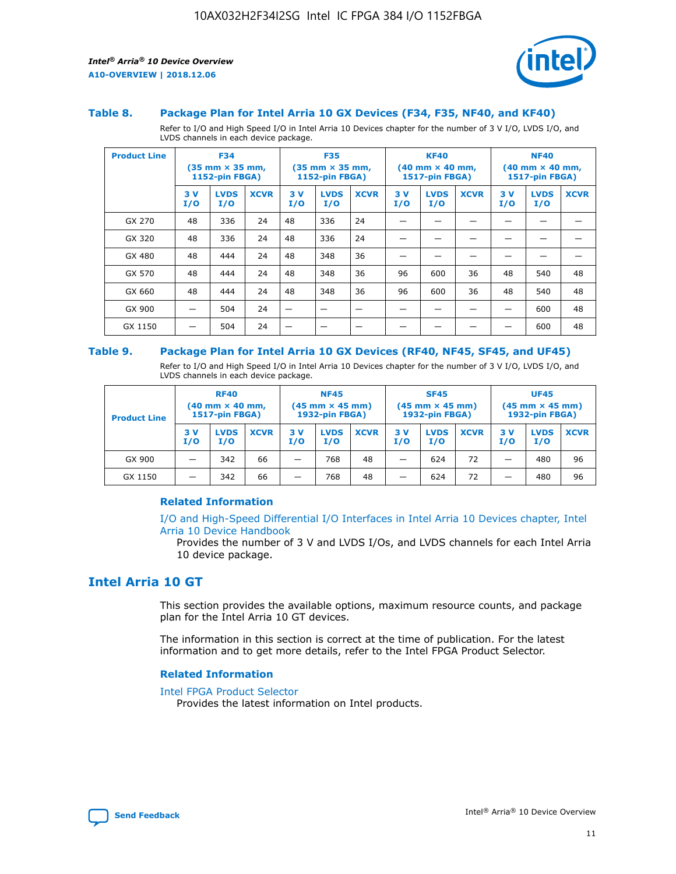

#### **Table 8. Package Plan for Intel Arria 10 GX Devices (F34, F35, NF40, and KF40)**

Refer to I/O and High Speed I/O in Intel Arria 10 Devices chapter for the number of 3 V I/O, LVDS I/O, and LVDS channels in each device package.

| <b>Product Line</b> | <b>F34</b><br>$(35 \text{ mm} \times 35 \text{ mm})$<br>1152-pin FBGA) |                    | <b>F35</b><br>$(35 \text{ mm} \times 35 \text{ mm})$<br><b>1152-pin FBGA)</b> |           | <b>KF40</b><br>$(40 \text{ mm} \times 40 \text{ mm})$<br>1517-pin FBGA) |             |            | <b>NF40</b><br>$(40 \text{ mm} \times 40 \text{ mm})$<br><b>1517-pin FBGA)</b> |             |            |                    |             |
|---------------------|------------------------------------------------------------------------|--------------------|-------------------------------------------------------------------------------|-----------|-------------------------------------------------------------------------|-------------|------------|--------------------------------------------------------------------------------|-------------|------------|--------------------|-------------|
|                     | 3V<br>I/O                                                              | <b>LVDS</b><br>I/O | <b>XCVR</b>                                                                   | 3V<br>I/O | <b>LVDS</b><br>I/O                                                      | <b>XCVR</b> | 3 V<br>I/O | <b>LVDS</b><br>I/O                                                             | <b>XCVR</b> | 3 V<br>I/O | <b>LVDS</b><br>I/O | <b>XCVR</b> |
| GX 270              | 48                                                                     | 336                | 24                                                                            | 48        | 336                                                                     | 24          |            |                                                                                |             |            |                    |             |
| GX 320              | 48                                                                     | 336                | 24                                                                            | 48        | 336                                                                     | 24          |            |                                                                                |             |            |                    |             |
| GX 480              | 48                                                                     | 444                | 24                                                                            | 48        | 348                                                                     | 36          |            |                                                                                |             |            |                    |             |
| GX 570              | 48                                                                     | 444                | 24                                                                            | 48        | 348                                                                     | 36          | 96         | 600                                                                            | 36          | 48         | 540                | 48          |
| GX 660              | 48                                                                     | 444                | 24                                                                            | 48        | 348                                                                     | 36          | 96         | 600                                                                            | 36          | 48         | 540                | 48          |
| GX 900              |                                                                        | 504                | 24                                                                            | -         |                                                                         |             |            |                                                                                |             |            | 600                | 48          |
| GX 1150             |                                                                        | 504                | 24                                                                            |           |                                                                         |             |            |                                                                                |             |            | 600                | 48          |

#### **Table 9. Package Plan for Intel Arria 10 GX Devices (RF40, NF45, SF45, and UF45)**

Refer to I/O and High Speed I/O in Intel Arria 10 Devices chapter for the number of 3 V I/O, LVDS I/O, and LVDS channels in each device package.

| <b>Product Line</b> | <b>RF40</b><br>$(40$ mm $\times$ 40 mm,<br>1517-pin FBGA) |                    |             | <b>NF45</b><br>$(45 \text{ mm} \times 45 \text{ mm})$<br><b>1932-pin FBGA)</b> |                    |             | <b>SF45</b><br>$(45 \text{ mm} \times 45 \text{ mm})$<br><b>1932-pin FBGA)</b> |                    |             | <b>UF45</b><br>$(45 \text{ mm} \times 45 \text{ mm})$<br><b>1932-pin FBGA)</b> |                    |             |
|---------------------|-----------------------------------------------------------|--------------------|-------------|--------------------------------------------------------------------------------|--------------------|-------------|--------------------------------------------------------------------------------|--------------------|-------------|--------------------------------------------------------------------------------|--------------------|-------------|
|                     | 3V<br>I/O                                                 | <b>LVDS</b><br>I/O | <b>XCVR</b> | 3 V<br>I/O                                                                     | <b>LVDS</b><br>I/O | <b>XCVR</b> | 3 V<br>I/O                                                                     | <b>LVDS</b><br>I/O | <b>XCVR</b> | 3V<br>I/O                                                                      | <b>LVDS</b><br>I/O | <b>XCVR</b> |
| GX 900              |                                                           | 342                | 66          | _                                                                              | 768                | 48          |                                                                                | 624                | 72          |                                                                                | 480                | 96          |
| GX 1150             |                                                           | 342                | 66          | _                                                                              | 768                | 48          |                                                                                | 624                | 72          |                                                                                | 480                | 96          |

#### **Related Information**

[I/O and High-Speed Differential I/O Interfaces in Intel Arria 10 Devices chapter, Intel](https://www.intel.com/content/www/us/en/programmable/documentation/sam1403482614086.html#sam1403482030321) [Arria 10 Device Handbook](https://www.intel.com/content/www/us/en/programmable/documentation/sam1403482614086.html#sam1403482030321)

Provides the number of 3 V and LVDS I/Os, and LVDS channels for each Intel Arria 10 device package.

#### **Intel Arria 10 GT**

This section provides the available options, maximum resource counts, and package plan for the Intel Arria 10 GT devices.

The information in this section is correct at the time of publication. For the latest information and to get more details, refer to the Intel FPGA Product Selector.

#### **Related Information**

#### [Intel FPGA Product Selector](http://www.altera.com/products/selector/psg-selector.html)

Provides the latest information on Intel products.

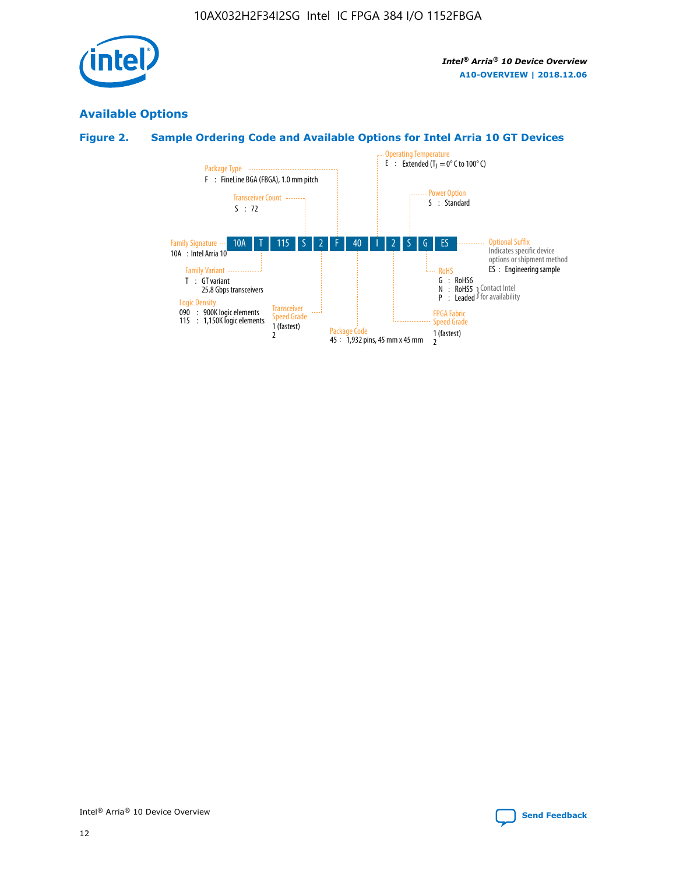

### **Available Options**

#### **Figure 2. Sample Ordering Code and Available Options for Intel Arria 10 GT Devices**

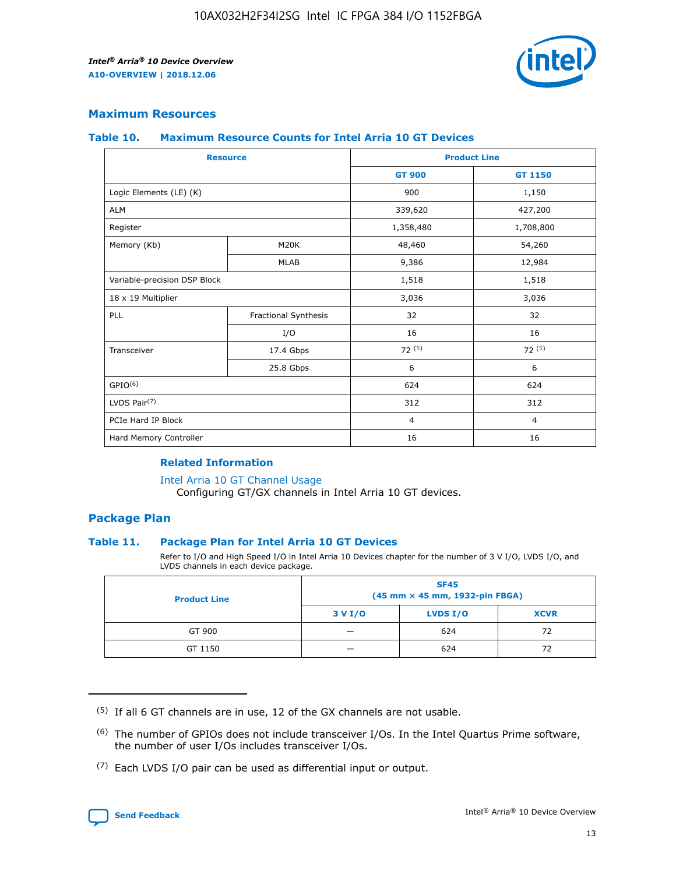

#### **Maximum Resources**

#### **Table 10. Maximum Resource Counts for Intel Arria 10 GT Devices**

| <b>Resource</b>              |                      |                | <b>Product Line</b> |  |
|------------------------------|----------------------|----------------|---------------------|--|
|                              |                      | <b>GT 900</b>  | GT 1150             |  |
| Logic Elements (LE) (K)      |                      | 900            | 1,150               |  |
| <b>ALM</b>                   |                      | 339,620        | 427,200             |  |
| Register                     |                      | 1,358,480      | 1,708,800           |  |
| Memory (Kb)                  | M20K                 | 48,460         | 54,260              |  |
|                              | <b>MLAB</b>          | 9,386          | 12,984              |  |
| Variable-precision DSP Block |                      | 1,518          | 1,518               |  |
| 18 x 19 Multiplier           |                      | 3,036          | 3,036               |  |
| <b>PLL</b>                   | Fractional Synthesis | 32             | 32                  |  |
|                              | I/O                  | 16             | 16                  |  |
| Transceiver                  | 17.4 Gbps            | 72(5)          | 72(5)               |  |
|                              | 25.8 Gbps            | 6              | 6                   |  |
| GPIO <sup>(6)</sup>          |                      | 624            | 624                 |  |
| LVDS Pair $(7)$              |                      | 312            | 312                 |  |
| PCIe Hard IP Block           |                      | $\overline{4}$ | $\overline{4}$      |  |
| Hard Memory Controller       |                      | 16             | 16                  |  |

#### **Related Information**

#### [Intel Arria 10 GT Channel Usage](https://www.intel.com/content/www/us/en/programmable/documentation/nik1398707230472.html#nik1398707008178)

Configuring GT/GX channels in Intel Arria 10 GT devices.

#### **Package Plan**

#### **Table 11. Package Plan for Intel Arria 10 GT Devices**

Refer to I/O and High Speed I/O in Intel Arria 10 Devices chapter for the number of 3 V I/O, LVDS I/O, and LVDS channels in each device package.

| <b>Product Line</b> | <b>SF45</b><br>(45 mm × 45 mm, 1932-pin FBGA) |                 |             |  |  |  |
|---------------------|-----------------------------------------------|-----------------|-------------|--|--|--|
|                     | 3 V I/O                                       | <b>LVDS I/O</b> | <b>XCVR</b> |  |  |  |
| GT 900              |                                               | 624             | 72          |  |  |  |
| GT 1150             |                                               | 624             | 72          |  |  |  |

<sup>(7)</sup> Each LVDS I/O pair can be used as differential input or output.



 $(5)$  If all 6 GT channels are in use, 12 of the GX channels are not usable.

<sup>(6)</sup> The number of GPIOs does not include transceiver I/Os. In the Intel Quartus Prime software, the number of user I/Os includes transceiver I/Os.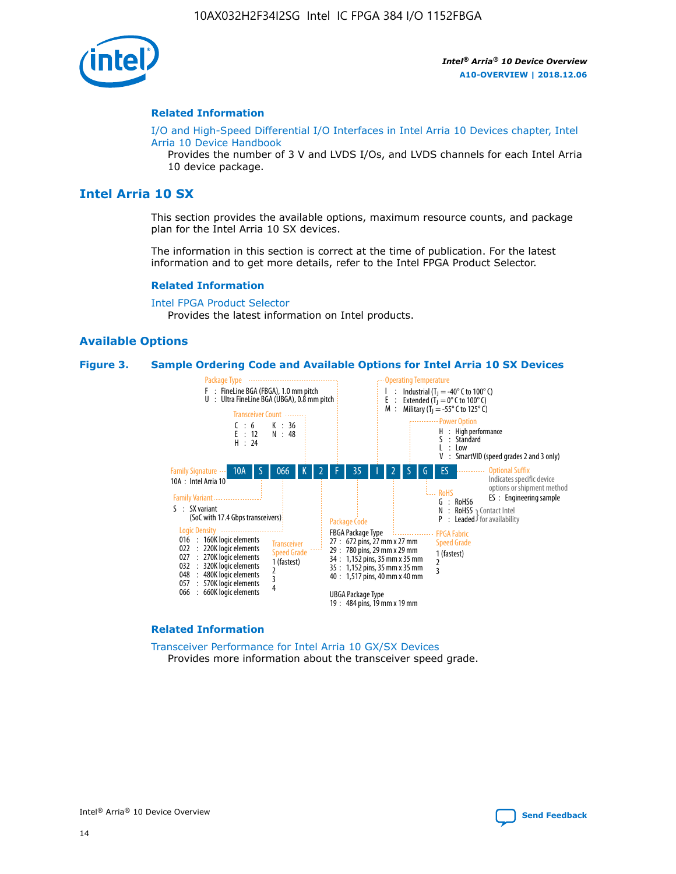

#### **Related Information**

[I/O and High-Speed Differential I/O Interfaces in Intel Arria 10 Devices chapter, Intel](https://www.intel.com/content/www/us/en/programmable/documentation/sam1403482614086.html#sam1403482030321) [Arria 10 Device Handbook](https://www.intel.com/content/www/us/en/programmable/documentation/sam1403482614086.html#sam1403482030321)

Provides the number of 3 V and LVDS I/Os, and LVDS channels for each Intel Arria 10 device package.

#### **Intel Arria 10 SX**

This section provides the available options, maximum resource counts, and package plan for the Intel Arria 10 SX devices.

The information in this section is correct at the time of publication. For the latest information and to get more details, refer to the Intel FPGA Product Selector.

#### **Related Information**

[Intel FPGA Product Selector](http://www.altera.com/products/selector/psg-selector.html) Provides the latest information on Intel products.

#### **Available Options**

#### **Figure 3. Sample Ordering Code and Available Options for Intel Arria 10 SX Devices**



#### **Related Information**

[Transceiver Performance for Intel Arria 10 GX/SX Devices](https://www.intel.com/content/www/us/en/programmable/documentation/mcn1413182292568.html#mcn1413213965502) Provides more information about the transceiver speed grade.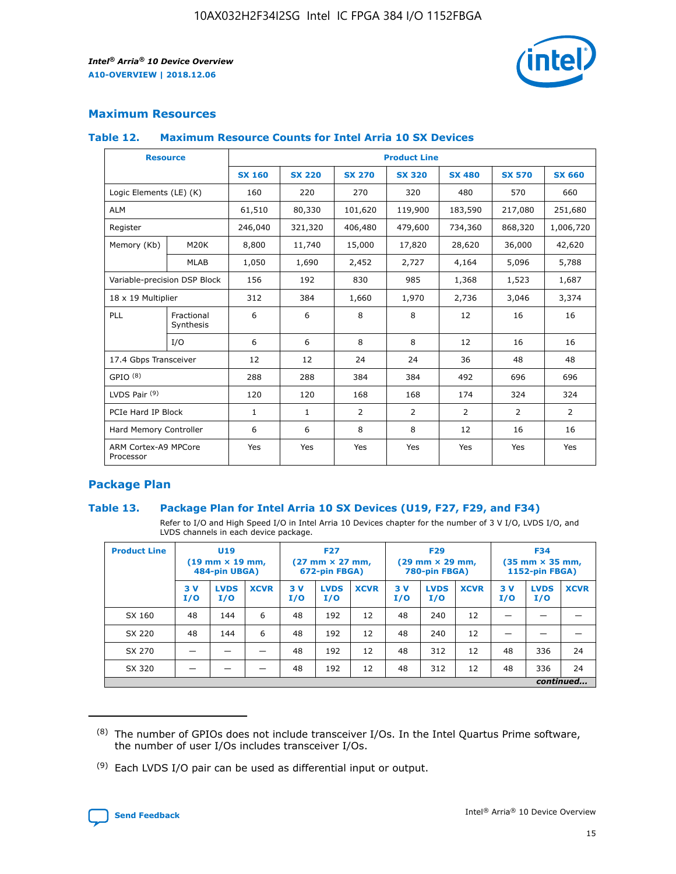

#### **Maximum Resources**

#### **Table 12. Maximum Resource Counts for Intel Arria 10 SX Devices**

|                                   | <b>Resource</b>         | <b>Product Line</b> |               |                |                |                |                |                |  |  |  |
|-----------------------------------|-------------------------|---------------------|---------------|----------------|----------------|----------------|----------------|----------------|--|--|--|
|                                   |                         | <b>SX 160</b>       | <b>SX 220</b> | <b>SX 270</b>  | <b>SX 320</b>  | <b>SX 480</b>  | <b>SX 570</b>  | <b>SX 660</b>  |  |  |  |
| Logic Elements (LE) (K)           |                         | 160                 | 220           | 270            | 320            | 480            | 570            | 660            |  |  |  |
| <b>ALM</b>                        |                         | 61,510              | 80,330        | 101,620        | 119,900        | 183,590        | 217,080        | 251,680        |  |  |  |
| Register                          |                         | 246,040             | 321,320       | 406,480        | 479,600        | 734,360        | 868,320        | 1,006,720      |  |  |  |
| Memory (Kb)                       | M <sub>20</sub> K       | 8,800               | 11,740        | 15,000         | 17,820         | 28,620         | 36,000         | 42,620         |  |  |  |
|                                   | <b>MLAB</b>             | 1,050               | 1,690         | 2,452          | 2,727          | 4,164          | 5,096          | 5,788          |  |  |  |
| Variable-precision DSP Block      |                         | 156                 | 192           | 830            | 985            | 1,368          | 1,523          | 1,687          |  |  |  |
| 18 x 19 Multiplier                |                         | 312                 | 384           | 1,660          | 1,970          | 2,736          | 3,046          | 3,374          |  |  |  |
| <b>PLL</b>                        | Fractional<br>Synthesis | 6                   | 6             | 8              | 8              | 12             | 16             | 16             |  |  |  |
|                                   | I/O                     | 6                   | 6             | 8              | 8              | 12             | 16             | 16             |  |  |  |
| 17.4 Gbps Transceiver             |                         | 12                  | 12            | 24             | 24             | 36             | 48             | 48             |  |  |  |
| GPIO <sup>(8)</sup>               |                         | 288                 | 288           | 384            | 384            | 492            | 696            | 696            |  |  |  |
| LVDS Pair $(9)$                   |                         | 120                 | 120           | 168            | 168            | 174            | 324            | 324            |  |  |  |
| PCIe Hard IP Block                |                         | $\mathbf{1}$        | $\mathbf{1}$  | $\overline{2}$ | $\overline{2}$ | $\overline{2}$ | $\overline{2}$ | $\overline{2}$ |  |  |  |
| Hard Memory Controller            |                         | 6                   | 6             | 8              | 8              | 12             | 16             | 16             |  |  |  |
| ARM Cortex-A9 MPCore<br>Processor |                         | Yes                 | Yes           | Yes            | Yes            | Yes            | Yes            | Yes            |  |  |  |

#### **Package Plan**

#### **Table 13. Package Plan for Intel Arria 10 SX Devices (U19, F27, F29, and F34)**

Refer to I/O and High Speed I/O in Intel Arria 10 Devices chapter for the number of 3 V I/O, LVDS I/O, and LVDS channels in each device package.

| <b>Product Line</b> | <b>U19</b><br>$(19 \text{ mm} \times 19 \text{ mm})$<br>484-pin UBGA) |                    |             | <b>F27</b><br>$(27 \text{ mm} \times 27 \text{ mm})$<br>672-pin FBGA) |                    | <b>F29</b><br>$(29$ mm $\times$ 29 mm,<br>780-pin FBGA) |            |                    | <b>F34</b><br>$(35 \text{ mm} \times 35 \text{ mm})$<br>1152-pin FBGA) |           |                    |             |
|---------------------|-----------------------------------------------------------------------|--------------------|-------------|-----------------------------------------------------------------------|--------------------|---------------------------------------------------------|------------|--------------------|------------------------------------------------------------------------|-----------|--------------------|-------------|
|                     | 3V<br>I/O                                                             | <b>LVDS</b><br>I/O | <b>XCVR</b> | 3V<br>I/O                                                             | <b>LVDS</b><br>I/O | <b>XCVR</b>                                             | 3 V<br>I/O | <b>LVDS</b><br>I/O | <b>XCVR</b>                                                            | 3V<br>I/O | <b>LVDS</b><br>I/O | <b>XCVR</b> |
| SX 160              | 48                                                                    | 144                | 6           | 48                                                                    | 192                | 12                                                      | 48         | 240                | 12                                                                     | –         |                    |             |
| SX 220              | 48                                                                    | 144                | 6           | 48                                                                    | 192                | 12                                                      | 48         | 240                | 12                                                                     |           |                    |             |
| SX 270              |                                                                       |                    |             | 48                                                                    | 192                | 12                                                      | 48         | 312                | 12                                                                     | 48        | 336                | 24          |
| SX 320              |                                                                       |                    |             | 48                                                                    | 192                | 12                                                      | 48         | 312                | 12                                                                     | 48        | 336                | 24          |
|                     | continued                                                             |                    |             |                                                                       |                    |                                                         |            |                    |                                                                        |           |                    |             |

 $(8)$  The number of GPIOs does not include transceiver I/Os. In the Intel Quartus Prime software, the number of user I/Os includes transceiver I/Os.

 $(9)$  Each LVDS I/O pair can be used as differential input or output.

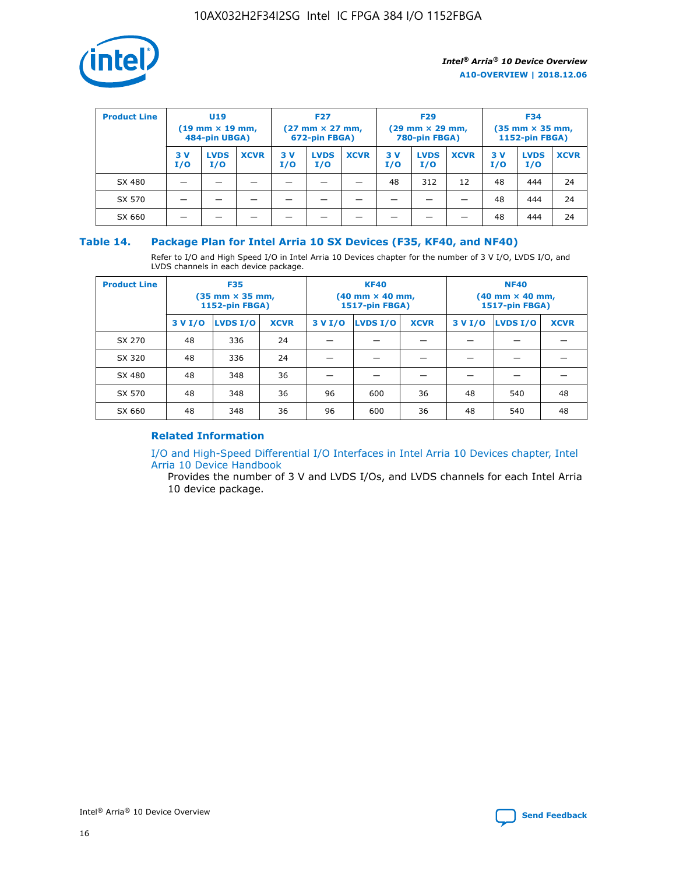

| <b>Product Line</b> | U <sub>19</sub><br>$(19 \text{ mm} \times 19 \text{ mm})$<br>484-pin UBGA) |                    | <b>F27</b><br>$(27 \text{ mm} \times 27 \text{ mm})$<br>672-pin FBGA) |           | <b>F29</b><br>$(29 \text{ mm} \times 29 \text{ mm})$<br>780-pin FBGA) |             |           | <b>F34</b><br>$(35$ mm $\times$ 35 mm,<br><b>1152-pin FBGA)</b> |             |           |                    |             |
|---------------------|----------------------------------------------------------------------------|--------------------|-----------------------------------------------------------------------|-----------|-----------------------------------------------------------------------|-------------|-----------|-----------------------------------------------------------------|-------------|-----------|--------------------|-------------|
|                     | 3V<br>I/O                                                                  | <b>LVDS</b><br>I/O | <b>XCVR</b>                                                           | 3V<br>I/O | <b>LVDS</b><br>I/O                                                    | <b>XCVR</b> | 3V<br>I/O | <b>LVDS</b><br>I/O                                              | <b>XCVR</b> | 3V<br>I/O | <b>LVDS</b><br>I/O | <b>XCVR</b> |
| SX 480              |                                                                            |                    |                                                                       |           |                                                                       |             | 48        | 312                                                             | 12          | 48        | 444                | 24          |
| SX 570              |                                                                            |                    |                                                                       |           |                                                                       |             |           |                                                                 |             | 48        | 444                | 24          |
| SX 660              |                                                                            |                    |                                                                       |           |                                                                       |             |           |                                                                 |             | 48        | 444                | 24          |

#### **Table 14. Package Plan for Intel Arria 10 SX Devices (F35, KF40, and NF40)**

Refer to I/O and High Speed I/O in Intel Arria 10 Devices chapter for the number of 3 V I/O, LVDS I/O, and LVDS channels in each device package.

| <b>Product Line</b> | <b>F35</b><br>$(35 \text{ mm} \times 35 \text{ mm})$<br><b>1152-pin FBGA)</b> |          |             |                                           | <b>KF40</b><br>(40 mm × 40 mm,<br>1517-pin FBGA) |    | <b>NF40</b><br>$(40 \text{ mm} \times 40 \text{ mm})$<br>1517-pin FBGA) |          |             |  |
|---------------------|-------------------------------------------------------------------------------|----------|-------------|-------------------------------------------|--------------------------------------------------|----|-------------------------------------------------------------------------|----------|-------------|--|
|                     | 3 V I/O                                                                       | LVDS I/O | <b>XCVR</b> | <b>LVDS I/O</b><br><b>XCVR</b><br>3 V I/O |                                                  |    | 3 V I/O                                                                 | LVDS I/O | <b>XCVR</b> |  |
| SX 270              | 48                                                                            | 336      | 24          |                                           |                                                  |    |                                                                         |          |             |  |
| SX 320              | 48                                                                            | 336      | 24          |                                           |                                                  |    |                                                                         |          |             |  |
| SX 480              | 48                                                                            | 348      | 36          |                                           |                                                  |    |                                                                         |          |             |  |
| SX 570              | 48                                                                            | 348      | 36          | 96                                        | 600                                              | 36 | 48                                                                      | 540      | 48          |  |
| SX 660              | 48                                                                            | 348      | 36          | 96                                        | 600                                              | 36 | 48                                                                      | 540      | 48          |  |

#### **Related Information**

[I/O and High-Speed Differential I/O Interfaces in Intel Arria 10 Devices chapter, Intel](https://www.intel.com/content/www/us/en/programmable/documentation/sam1403482614086.html#sam1403482030321) [Arria 10 Device Handbook](https://www.intel.com/content/www/us/en/programmable/documentation/sam1403482614086.html#sam1403482030321)

Provides the number of 3 V and LVDS I/Os, and LVDS channels for each Intel Arria 10 device package.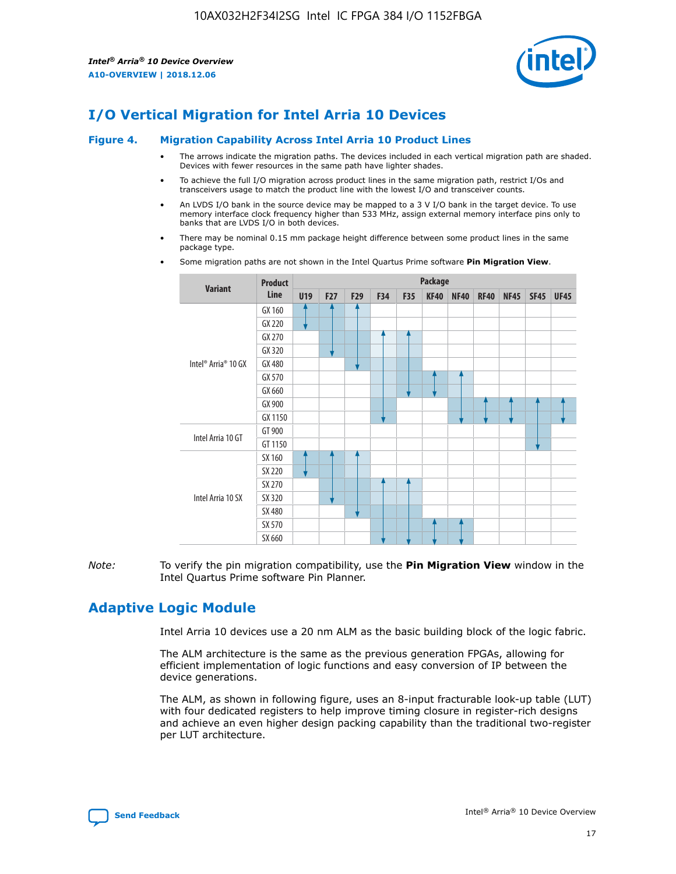

# **I/O Vertical Migration for Intel Arria 10 Devices**

#### **Figure 4. Migration Capability Across Intel Arria 10 Product Lines**

- The arrows indicate the migration paths. The devices included in each vertical migration path are shaded. Devices with fewer resources in the same path have lighter shades.
- To achieve the full I/O migration across product lines in the same migration path, restrict I/Os and transceivers usage to match the product line with the lowest I/O and transceiver counts.
- An LVDS I/O bank in the source device may be mapped to a 3 V I/O bank in the target device. To use memory interface clock frequency higher than 533 MHz, assign external memory interface pins only to banks that are LVDS I/O in both devices.
- There may be nominal 0.15 mm package height difference between some product lines in the same package type.
	- **Variant Product Line Package U19 F27 F29 F34 F35 KF40 NF40 RF40 NF45 SF45 UF45** Intel® Arria® 10 GX GX 160 GX 220 GX 270 GX 320 GX 480 GX 570 GX 660 GX 900 GX 1150 Intel Arria 10 GT GT 900 GT 1150 Intel Arria 10 SX SX 160 SX 220 SX 270 SX 320 SX 480 SX 570 SX 660
- Some migration paths are not shown in the Intel Quartus Prime software **Pin Migration View**.

*Note:* To verify the pin migration compatibility, use the **Pin Migration View** window in the Intel Quartus Prime software Pin Planner.

# **Adaptive Logic Module**

Intel Arria 10 devices use a 20 nm ALM as the basic building block of the logic fabric.

The ALM architecture is the same as the previous generation FPGAs, allowing for efficient implementation of logic functions and easy conversion of IP between the device generations.

The ALM, as shown in following figure, uses an 8-input fracturable look-up table (LUT) with four dedicated registers to help improve timing closure in register-rich designs and achieve an even higher design packing capability than the traditional two-register per LUT architecture.

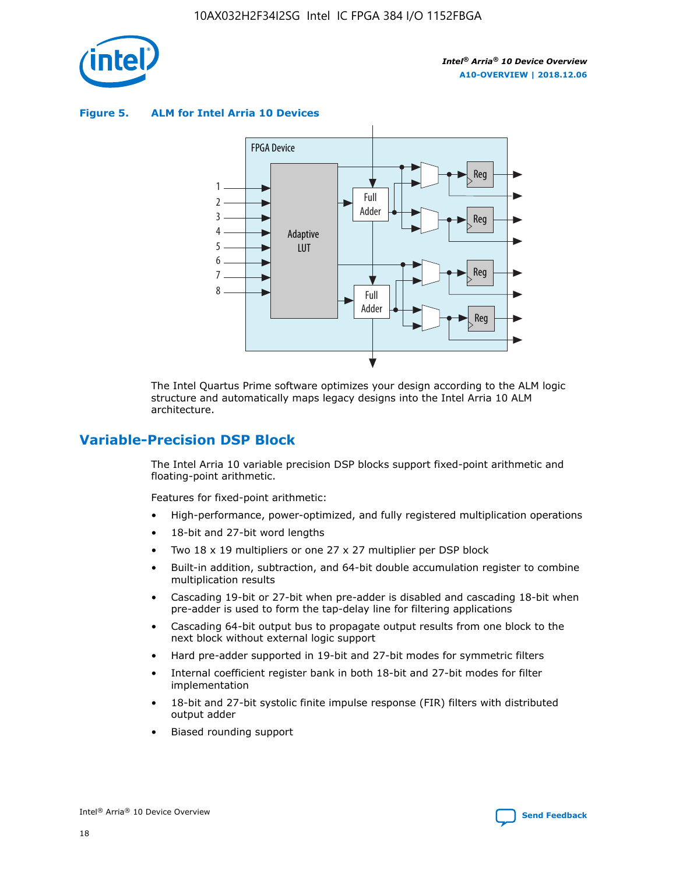

**Figure 5. ALM for Intel Arria 10 Devices**



The Intel Quartus Prime software optimizes your design according to the ALM logic structure and automatically maps legacy designs into the Intel Arria 10 ALM architecture.

# **Variable-Precision DSP Block**

The Intel Arria 10 variable precision DSP blocks support fixed-point arithmetic and floating-point arithmetic.

Features for fixed-point arithmetic:

- High-performance, power-optimized, and fully registered multiplication operations
- 18-bit and 27-bit word lengths
- Two 18 x 19 multipliers or one 27 x 27 multiplier per DSP block
- Built-in addition, subtraction, and 64-bit double accumulation register to combine multiplication results
- Cascading 19-bit or 27-bit when pre-adder is disabled and cascading 18-bit when pre-adder is used to form the tap-delay line for filtering applications
- Cascading 64-bit output bus to propagate output results from one block to the next block without external logic support
- Hard pre-adder supported in 19-bit and 27-bit modes for symmetric filters
- Internal coefficient register bank in both 18-bit and 27-bit modes for filter implementation
- 18-bit and 27-bit systolic finite impulse response (FIR) filters with distributed output adder
- Biased rounding support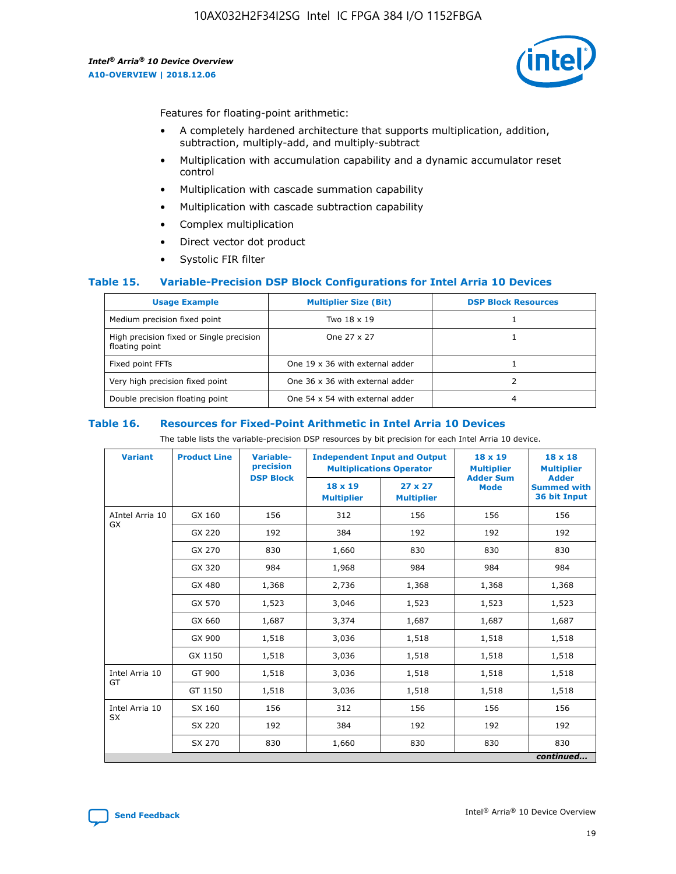

Features for floating-point arithmetic:

- A completely hardened architecture that supports multiplication, addition, subtraction, multiply-add, and multiply-subtract
- Multiplication with accumulation capability and a dynamic accumulator reset control
- Multiplication with cascade summation capability
- Multiplication with cascade subtraction capability
- Complex multiplication
- Direct vector dot product
- Systolic FIR filter

#### **Table 15. Variable-Precision DSP Block Configurations for Intel Arria 10 Devices**

| <b>Usage Example</b>                                       | <b>Multiplier Size (Bit)</b>    | <b>DSP Block Resources</b> |
|------------------------------------------------------------|---------------------------------|----------------------------|
| Medium precision fixed point                               | Two 18 x 19                     |                            |
| High precision fixed or Single precision<br>floating point | One 27 x 27                     |                            |
| Fixed point FFTs                                           | One 19 x 36 with external adder |                            |
| Very high precision fixed point                            | One 36 x 36 with external adder |                            |
| Double precision floating point                            | One 54 x 54 with external adder | 4                          |

#### **Table 16. Resources for Fixed-Point Arithmetic in Intel Arria 10 Devices**

The table lists the variable-precision DSP resources by bit precision for each Intel Arria 10 device.

| <b>Variant</b>        | <b>Product Line</b> | Variable-<br>precision<br><b>DSP Block</b> | <b>Independent Input and Output</b><br><b>Multiplications Operator</b> |                                     | 18 x 19<br><b>Multiplier</b><br><b>Adder Sum</b> | $18 \times 18$<br><b>Multiplier</b><br><b>Adder</b> |
|-----------------------|---------------------|--------------------------------------------|------------------------------------------------------------------------|-------------------------------------|--------------------------------------------------|-----------------------------------------------------|
|                       |                     |                                            | 18 x 19<br><b>Multiplier</b>                                           | $27 \times 27$<br><b>Multiplier</b> | <b>Mode</b>                                      | <b>Summed with</b><br>36 bit Input                  |
| AIntel Arria 10<br>GX | GX 160              | 156                                        | 312                                                                    | 156                                 | 156                                              | 156                                                 |
|                       | GX 220              | 192                                        | 384                                                                    | 192                                 | 192                                              | 192                                                 |
|                       | GX 270              | 830                                        | 1,660                                                                  | 830                                 | 830                                              | 830                                                 |
|                       | GX 320              | 984                                        | 1,968                                                                  | 984                                 | 984                                              | 984                                                 |
|                       | GX 480              | 1,368                                      | 2,736                                                                  | 1,368                               | 1,368                                            | 1,368                                               |
|                       | GX 570              | 1,523                                      | 3,046                                                                  | 1,523                               | 1,523                                            | 1,523                                               |
|                       | GX 660              | 1,687                                      | 3,374                                                                  | 1,687                               | 1,687                                            | 1,687                                               |
|                       | GX 900              | 1,518                                      | 3,036                                                                  | 1,518                               | 1,518                                            | 1,518                                               |
|                       | GX 1150             | 1,518                                      | 3,036                                                                  | 1,518                               | 1,518                                            | 1,518                                               |
| Intel Arria 10        | GT 900              | 1,518                                      | 3,036                                                                  | 1,518                               | 1,518                                            | 1,518                                               |
| GT                    | GT 1150             | 1,518                                      | 3,036                                                                  | 1,518                               | 1,518                                            | 1,518                                               |
| Intel Arria 10        | SX 160              | 156                                        | 312                                                                    | 156                                 | 156                                              | 156                                                 |
| <b>SX</b>             | SX 220              | 192                                        | 384                                                                    | 192                                 | 192                                              | 192                                                 |
|                       | SX 270              | 830                                        | 1,660                                                                  | 830                                 | 830                                              | 830                                                 |
|                       |                     |                                            |                                                                        |                                     |                                                  | continued                                           |

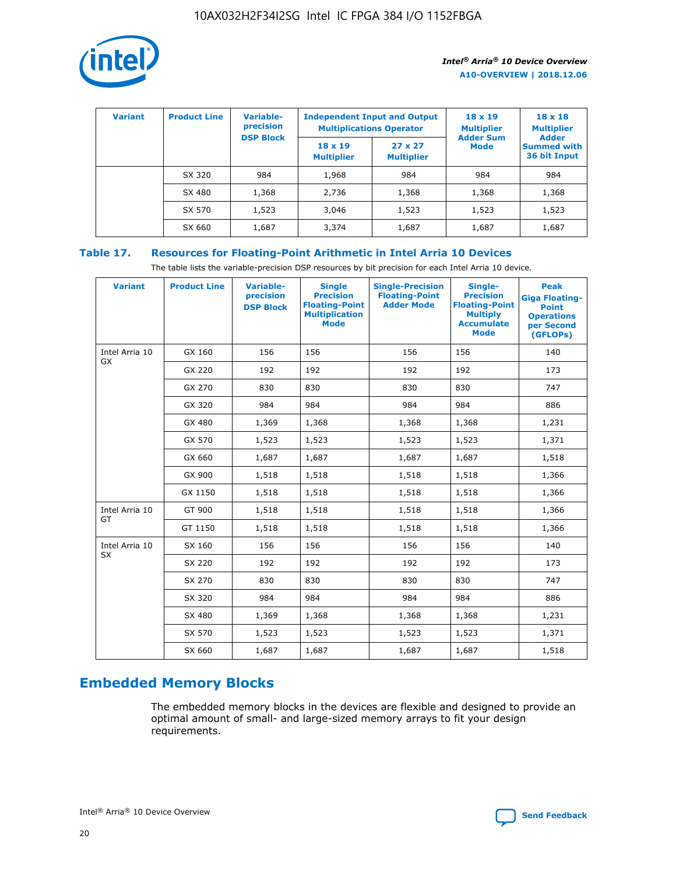

| <b>Variant</b> | <b>Product Line</b> | <b>Variable-</b><br>precision<br><b>DSP Block</b> | <b>Independent Input and Output</b><br><b>Multiplications Operator</b> |                                     | $18 \times 19$<br><b>Multiplier</b><br><b>Adder Sum</b> | $18 \times 18$<br><b>Multiplier</b><br><b>Adder</b> |  |
|----------------|---------------------|---------------------------------------------------|------------------------------------------------------------------------|-------------------------------------|---------------------------------------------------------|-----------------------------------------------------|--|
|                |                     |                                                   | $18 \times 19$<br><b>Multiplier</b>                                    | $27 \times 27$<br><b>Multiplier</b> | <b>Mode</b>                                             | <b>Summed with</b><br>36 bit Input                  |  |
|                | SX 320              | 984                                               | 1,968                                                                  | 984                                 | 984                                                     | 984                                                 |  |
|                | SX 480              | 1,368                                             | 2,736                                                                  | 1,368                               | 1,368                                                   | 1,368                                               |  |
|                | SX 570              | 1,523                                             | 3,046                                                                  | 1,523                               | 1,523                                                   | 1,523                                               |  |
|                | SX 660              | 1,687                                             | 3,374                                                                  | 1,687                               | 1,687                                                   | 1,687                                               |  |

### **Table 17. Resources for Floating-Point Arithmetic in Intel Arria 10 Devices**

The table lists the variable-precision DSP resources by bit precision for each Intel Arria 10 device.

| <b>Variant</b> | <b>Product Line</b> | <b>Variable-</b><br>precision<br><b>DSP Block</b> | <b>Single</b><br><b>Precision</b><br><b>Floating-Point</b><br><b>Multiplication</b><br><b>Mode</b> | <b>Single-Precision</b><br><b>Floating-Point</b><br><b>Adder Mode</b> | Single-<br><b>Precision</b><br><b>Floating-Point</b><br><b>Multiply</b><br><b>Accumulate</b><br><b>Mode</b> | <b>Peak</b><br><b>Giga Floating-</b><br><b>Point</b><br><b>Operations</b><br>per Second<br>(GFLOPs) |
|----------------|---------------------|---------------------------------------------------|----------------------------------------------------------------------------------------------------|-----------------------------------------------------------------------|-------------------------------------------------------------------------------------------------------------|-----------------------------------------------------------------------------------------------------|
| Intel Arria 10 | GX 160              | 156                                               | 156                                                                                                | 156                                                                   | 156                                                                                                         | 140                                                                                                 |
| <b>GX</b>      | GX 220              | 192                                               | 192                                                                                                | 192                                                                   | 192                                                                                                         | 173                                                                                                 |
|                | GX 270              | 830                                               | 830                                                                                                | 830                                                                   | 830                                                                                                         | 747                                                                                                 |
|                | GX 320              | 984                                               | 984                                                                                                | 984                                                                   | 984                                                                                                         | 886                                                                                                 |
|                | GX 480              | 1,369                                             | 1,368                                                                                              | 1,368                                                                 | 1,368                                                                                                       | 1,231                                                                                               |
|                | GX 570              | 1,523                                             | 1,523                                                                                              | 1,523                                                                 | 1,523                                                                                                       | 1,371                                                                                               |
|                | GX 660              | 1,687                                             | 1,687                                                                                              | 1,687                                                                 | 1,687                                                                                                       | 1,518                                                                                               |
|                | GX 900              | 1,518                                             | 1,518                                                                                              | 1,518                                                                 | 1,518                                                                                                       | 1,366                                                                                               |
|                | GX 1150             | 1,518                                             | 1,518                                                                                              | 1,518                                                                 | 1,518                                                                                                       | 1,366                                                                                               |
| Intel Arria 10 | GT 900              | 1,518                                             | 1,518                                                                                              | 1,518                                                                 | 1,518                                                                                                       | 1,366                                                                                               |
| GT             | GT 1150             | 1,518                                             | 1,518                                                                                              | 1,518                                                                 | 1,518                                                                                                       | 1,366                                                                                               |
| Intel Arria 10 | SX 160              | 156                                               | 156                                                                                                | 156                                                                   | 156                                                                                                         | 140                                                                                                 |
| SX             | SX 220              | 192                                               | 192                                                                                                | 192                                                                   | 192                                                                                                         | 173                                                                                                 |
|                | SX 270              | 830                                               | 830                                                                                                | 830                                                                   | 830                                                                                                         | 747                                                                                                 |
|                | SX 320              | 984                                               | 984                                                                                                | 984                                                                   | 984                                                                                                         | 886                                                                                                 |
|                | SX 480              | 1,369                                             | 1,368                                                                                              | 1,368                                                                 | 1,368                                                                                                       | 1,231                                                                                               |
|                | SX 570              | 1,523                                             | 1,523                                                                                              | 1,523                                                                 | 1,523                                                                                                       | 1,371                                                                                               |
|                | SX 660              | 1,687                                             | 1,687                                                                                              | 1,687                                                                 | 1,687                                                                                                       | 1,518                                                                                               |

# **Embedded Memory Blocks**

The embedded memory blocks in the devices are flexible and designed to provide an optimal amount of small- and large-sized memory arrays to fit your design requirements.

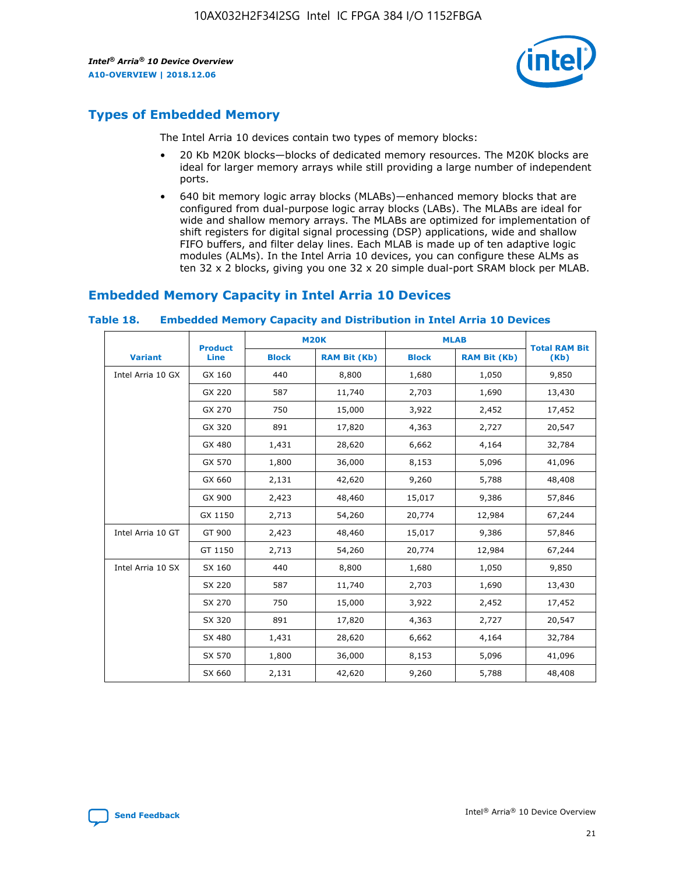

# **Types of Embedded Memory**

The Intel Arria 10 devices contain two types of memory blocks:

- 20 Kb M20K blocks—blocks of dedicated memory resources. The M20K blocks are ideal for larger memory arrays while still providing a large number of independent ports.
- 640 bit memory logic array blocks (MLABs)—enhanced memory blocks that are configured from dual-purpose logic array blocks (LABs). The MLABs are ideal for wide and shallow memory arrays. The MLABs are optimized for implementation of shift registers for digital signal processing (DSP) applications, wide and shallow FIFO buffers, and filter delay lines. Each MLAB is made up of ten adaptive logic modules (ALMs). In the Intel Arria 10 devices, you can configure these ALMs as ten 32 x 2 blocks, giving you one 32 x 20 simple dual-port SRAM block per MLAB.

# **Embedded Memory Capacity in Intel Arria 10 Devices**

|                   | <b>Product</b> |              | <b>M20K</b>         | <b>MLAB</b>  |                     | <b>Total RAM Bit</b> |
|-------------------|----------------|--------------|---------------------|--------------|---------------------|----------------------|
| <b>Variant</b>    | Line           | <b>Block</b> | <b>RAM Bit (Kb)</b> | <b>Block</b> | <b>RAM Bit (Kb)</b> | (Kb)                 |
| Intel Arria 10 GX | GX 160         | 440          | 8,800               | 1,680        | 1,050               | 9,850                |
|                   | GX 220         | 587          | 11,740              | 2,703        | 1,690               | 13,430               |
|                   | GX 270         | 750          | 15,000              | 3,922        | 2,452               | 17,452               |
|                   | GX 320         | 891          | 17,820              | 4,363        | 2,727               | 20,547               |
|                   | GX 480         | 1,431        | 28,620              | 6,662        | 4,164               | 32,784               |
|                   | GX 570         | 1,800        | 36,000              | 8,153        | 5,096               | 41,096               |
|                   | GX 660         | 2,131        | 42,620              | 9,260        | 5,788               | 48,408               |
|                   | GX 900         | 2,423        | 48,460              | 15,017       | 9,386               | 57,846               |
|                   | GX 1150        | 2,713        | 54,260              | 20,774       | 12,984              | 67,244               |
| Intel Arria 10 GT | GT 900         | 2,423        | 48,460              | 15,017       | 9,386               | 57,846               |
|                   | GT 1150        | 2,713        | 54,260              | 20,774       | 12,984              | 67,244               |
| Intel Arria 10 SX | SX 160         | 440          | 8,800               | 1,680        | 1,050               | 9,850                |
|                   | SX 220         | 587          | 11,740              | 2,703        | 1,690               | 13,430               |
|                   | SX 270         | 750          | 15,000              | 3,922        | 2,452               | 17,452               |
|                   | SX 320         | 891          | 17,820              | 4,363        | 2,727               | 20,547               |
|                   | SX 480         | 1,431        | 28,620              | 6,662        | 4,164               | 32,784               |
|                   | SX 570         | 1,800        | 36,000              | 8,153        | 5,096               | 41,096               |
|                   | SX 660         | 2,131        | 42,620              | 9,260        | 5,788               | 48,408               |

#### **Table 18. Embedded Memory Capacity and Distribution in Intel Arria 10 Devices**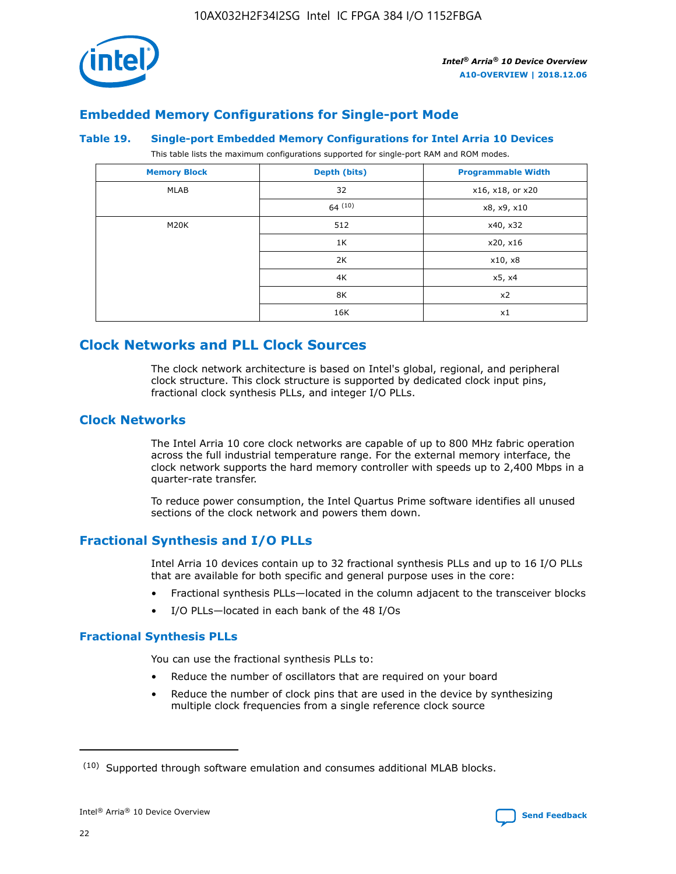

# **Embedded Memory Configurations for Single-port Mode**

#### **Table 19. Single-port Embedded Memory Configurations for Intel Arria 10 Devices**

This table lists the maximum configurations supported for single-port RAM and ROM modes.

| <b>Memory Block</b> | Depth (bits) | <b>Programmable Width</b> |
|---------------------|--------------|---------------------------|
| MLAB                | 32           | x16, x18, or x20          |
|                     | 64(10)       | x8, x9, x10               |
| M20K                | 512          | x40, x32                  |
|                     | 1K           | x20, x16                  |
|                     | 2K           | x10, x8                   |
|                     | 4K           | x5, x4                    |
|                     | 8K           | x2                        |
|                     | 16K          | x1                        |

# **Clock Networks and PLL Clock Sources**

The clock network architecture is based on Intel's global, regional, and peripheral clock structure. This clock structure is supported by dedicated clock input pins, fractional clock synthesis PLLs, and integer I/O PLLs.

#### **Clock Networks**

The Intel Arria 10 core clock networks are capable of up to 800 MHz fabric operation across the full industrial temperature range. For the external memory interface, the clock network supports the hard memory controller with speeds up to 2,400 Mbps in a quarter-rate transfer.

To reduce power consumption, the Intel Quartus Prime software identifies all unused sections of the clock network and powers them down.

#### **Fractional Synthesis and I/O PLLs**

Intel Arria 10 devices contain up to 32 fractional synthesis PLLs and up to 16 I/O PLLs that are available for both specific and general purpose uses in the core:

- Fractional synthesis PLLs—located in the column adjacent to the transceiver blocks
- I/O PLLs—located in each bank of the 48 I/Os

#### **Fractional Synthesis PLLs**

You can use the fractional synthesis PLLs to:

- Reduce the number of oscillators that are required on your board
- Reduce the number of clock pins that are used in the device by synthesizing multiple clock frequencies from a single reference clock source

<sup>(10)</sup> Supported through software emulation and consumes additional MLAB blocks.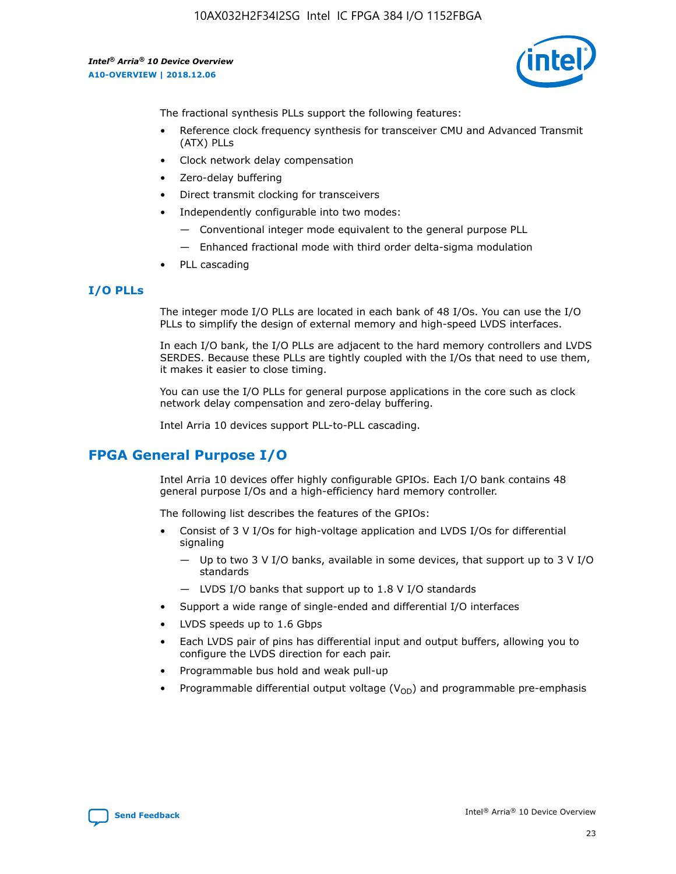

The fractional synthesis PLLs support the following features:

- Reference clock frequency synthesis for transceiver CMU and Advanced Transmit (ATX) PLLs
- Clock network delay compensation
- Zero-delay buffering
- Direct transmit clocking for transceivers
- Independently configurable into two modes:
	- Conventional integer mode equivalent to the general purpose PLL
	- Enhanced fractional mode with third order delta-sigma modulation
- PLL cascading

#### **I/O PLLs**

The integer mode I/O PLLs are located in each bank of 48 I/Os. You can use the I/O PLLs to simplify the design of external memory and high-speed LVDS interfaces.

In each I/O bank, the I/O PLLs are adjacent to the hard memory controllers and LVDS SERDES. Because these PLLs are tightly coupled with the I/Os that need to use them, it makes it easier to close timing.

You can use the I/O PLLs for general purpose applications in the core such as clock network delay compensation and zero-delay buffering.

Intel Arria 10 devices support PLL-to-PLL cascading.

# **FPGA General Purpose I/O**

Intel Arria 10 devices offer highly configurable GPIOs. Each I/O bank contains 48 general purpose I/Os and a high-efficiency hard memory controller.

The following list describes the features of the GPIOs:

- Consist of 3 V I/Os for high-voltage application and LVDS I/Os for differential signaling
	- Up to two 3 V I/O banks, available in some devices, that support up to 3 V I/O standards
	- LVDS I/O banks that support up to 1.8 V I/O standards
- Support a wide range of single-ended and differential I/O interfaces
- LVDS speeds up to 1.6 Gbps
- Each LVDS pair of pins has differential input and output buffers, allowing you to configure the LVDS direction for each pair.
- Programmable bus hold and weak pull-up
- Programmable differential output voltage  $(V_{OD})$  and programmable pre-emphasis

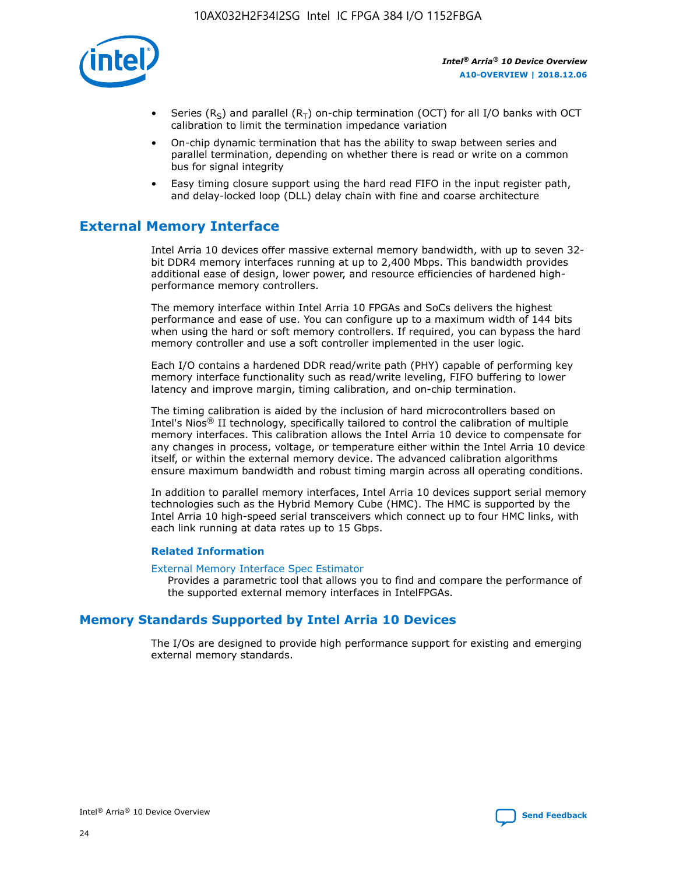

- Series (R<sub>S</sub>) and parallel (R<sub>T</sub>) on-chip termination (OCT) for all I/O banks with OCT calibration to limit the termination impedance variation
- On-chip dynamic termination that has the ability to swap between series and parallel termination, depending on whether there is read or write on a common bus for signal integrity
- Easy timing closure support using the hard read FIFO in the input register path, and delay-locked loop (DLL) delay chain with fine and coarse architecture

# **External Memory Interface**

Intel Arria 10 devices offer massive external memory bandwidth, with up to seven 32 bit DDR4 memory interfaces running at up to 2,400 Mbps. This bandwidth provides additional ease of design, lower power, and resource efficiencies of hardened highperformance memory controllers.

The memory interface within Intel Arria 10 FPGAs and SoCs delivers the highest performance and ease of use. You can configure up to a maximum width of 144 bits when using the hard or soft memory controllers. If required, you can bypass the hard memory controller and use a soft controller implemented in the user logic.

Each I/O contains a hardened DDR read/write path (PHY) capable of performing key memory interface functionality such as read/write leveling, FIFO buffering to lower latency and improve margin, timing calibration, and on-chip termination.

The timing calibration is aided by the inclusion of hard microcontrollers based on Intel's Nios® II technology, specifically tailored to control the calibration of multiple memory interfaces. This calibration allows the Intel Arria 10 device to compensate for any changes in process, voltage, or temperature either within the Intel Arria 10 device itself, or within the external memory device. The advanced calibration algorithms ensure maximum bandwidth and robust timing margin across all operating conditions.

In addition to parallel memory interfaces, Intel Arria 10 devices support serial memory technologies such as the Hybrid Memory Cube (HMC). The HMC is supported by the Intel Arria 10 high-speed serial transceivers which connect up to four HMC links, with each link running at data rates up to 15 Gbps.

#### **Related Information**

#### [External Memory Interface Spec Estimator](http://www.altera.com/technology/memory/estimator/mem-emif-index.html)

Provides a parametric tool that allows you to find and compare the performance of the supported external memory interfaces in IntelFPGAs.

### **Memory Standards Supported by Intel Arria 10 Devices**

The I/Os are designed to provide high performance support for existing and emerging external memory standards.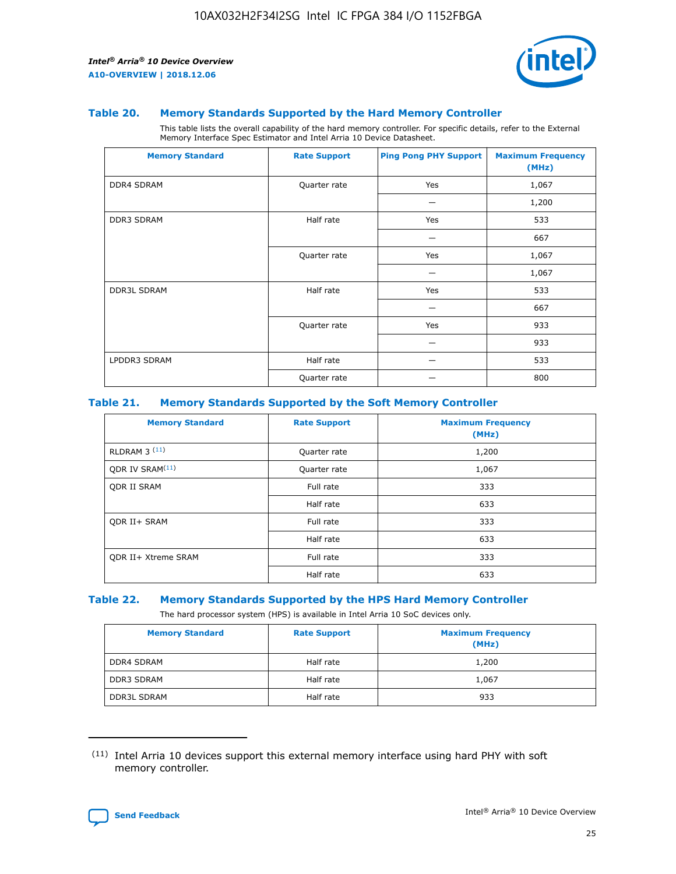

#### **Table 20. Memory Standards Supported by the Hard Memory Controller**

This table lists the overall capability of the hard memory controller. For specific details, refer to the External Memory Interface Spec Estimator and Intel Arria 10 Device Datasheet.

| <b>Memory Standard</b> | <b>Rate Support</b> | <b>Ping Pong PHY Support</b> | <b>Maximum Frequency</b><br>(MHz) |
|------------------------|---------------------|------------------------------|-----------------------------------|
| <b>DDR4 SDRAM</b>      | Quarter rate        | Yes                          | 1,067                             |
|                        |                     |                              | 1,200                             |
| DDR3 SDRAM             | Half rate           | Yes                          | 533                               |
|                        |                     |                              | 667                               |
|                        | Quarter rate        | Yes                          | 1,067                             |
|                        |                     |                              | 1,067                             |
| <b>DDR3L SDRAM</b>     | Half rate           | Yes                          | 533                               |
|                        |                     |                              | 667                               |
|                        | Quarter rate        | Yes                          | 933                               |
|                        |                     |                              | 933                               |
| LPDDR3 SDRAM           | Half rate           |                              | 533                               |
|                        | Quarter rate        |                              | 800                               |

#### **Table 21. Memory Standards Supported by the Soft Memory Controller**

| <b>Memory Standard</b>      | <b>Rate Support</b> | <b>Maximum Frequency</b><br>(MHz) |
|-----------------------------|---------------------|-----------------------------------|
| <b>RLDRAM 3 (11)</b>        | Quarter rate        | 1,200                             |
| QDR IV SRAM <sup>(11)</sup> | Quarter rate        | 1,067                             |
| <b>ODR II SRAM</b>          | Full rate           | 333                               |
|                             | Half rate           | 633                               |
| <b>ODR II+ SRAM</b>         | Full rate           | 333                               |
|                             | Half rate           | 633                               |
| <b>QDR II+ Xtreme SRAM</b>  | Full rate           | 333                               |
|                             | Half rate           | 633                               |

#### **Table 22. Memory Standards Supported by the HPS Hard Memory Controller**

The hard processor system (HPS) is available in Intel Arria 10 SoC devices only.

| <b>Memory Standard</b> | <b>Rate Support</b> | <b>Maximum Frequency</b><br>(MHz) |
|------------------------|---------------------|-----------------------------------|
| <b>DDR4 SDRAM</b>      | Half rate           | 1,200                             |
| <b>DDR3 SDRAM</b>      | Half rate           | 1,067                             |
| <b>DDR3L SDRAM</b>     | Half rate           | 933                               |

<sup>(11)</sup> Intel Arria 10 devices support this external memory interface using hard PHY with soft memory controller.

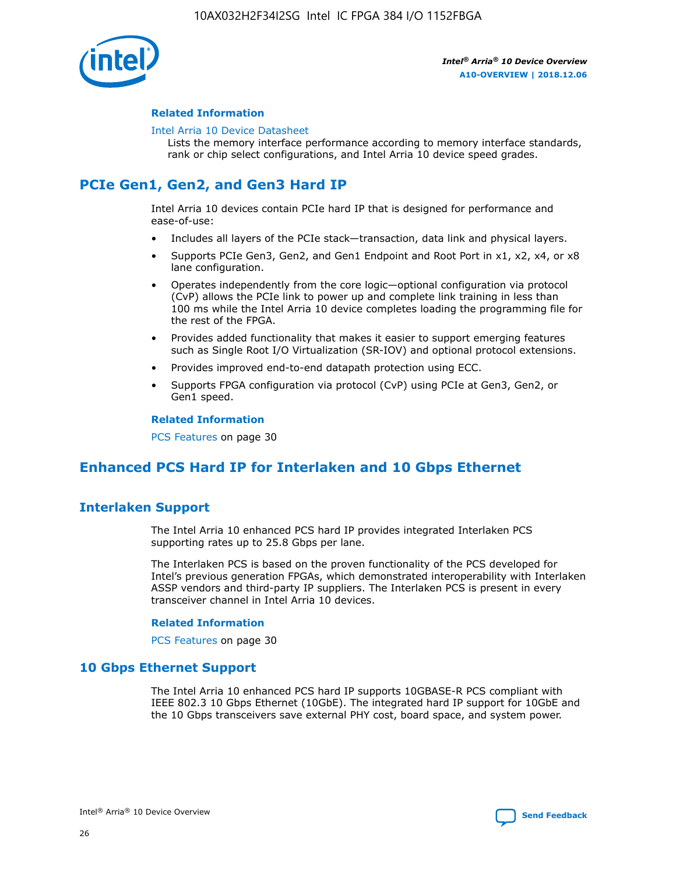

#### **Related Information**

#### [Intel Arria 10 Device Datasheet](https://www.intel.com/content/www/us/en/programmable/documentation/mcn1413182292568.html#mcn1413182153340)

Lists the memory interface performance according to memory interface standards, rank or chip select configurations, and Intel Arria 10 device speed grades.

# **PCIe Gen1, Gen2, and Gen3 Hard IP**

Intel Arria 10 devices contain PCIe hard IP that is designed for performance and ease-of-use:

- Includes all layers of the PCIe stack—transaction, data link and physical layers.
- Supports PCIe Gen3, Gen2, and Gen1 Endpoint and Root Port in x1, x2, x4, or x8 lane configuration.
- Operates independently from the core logic—optional configuration via protocol (CvP) allows the PCIe link to power up and complete link training in less than 100 ms while the Intel Arria 10 device completes loading the programming file for the rest of the FPGA.
- Provides added functionality that makes it easier to support emerging features such as Single Root I/O Virtualization (SR-IOV) and optional protocol extensions.
- Provides improved end-to-end datapath protection using ECC.
- Supports FPGA configuration via protocol (CvP) using PCIe at Gen3, Gen2, or Gen1 speed.

#### **Related Information**

PCS Features on page 30

# **Enhanced PCS Hard IP for Interlaken and 10 Gbps Ethernet**

### **Interlaken Support**

The Intel Arria 10 enhanced PCS hard IP provides integrated Interlaken PCS supporting rates up to 25.8 Gbps per lane.

The Interlaken PCS is based on the proven functionality of the PCS developed for Intel's previous generation FPGAs, which demonstrated interoperability with Interlaken ASSP vendors and third-party IP suppliers. The Interlaken PCS is present in every transceiver channel in Intel Arria 10 devices.

#### **Related Information**

PCS Features on page 30

#### **10 Gbps Ethernet Support**

The Intel Arria 10 enhanced PCS hard IP supports 10GBASE-R PCS compliant with IEEE 802.3 10 Gbps Ethernet (10GbE). The integrated hard IP support for 10GbE and the 10 Gbps transceivers save external PHY cost, board space, and system power.

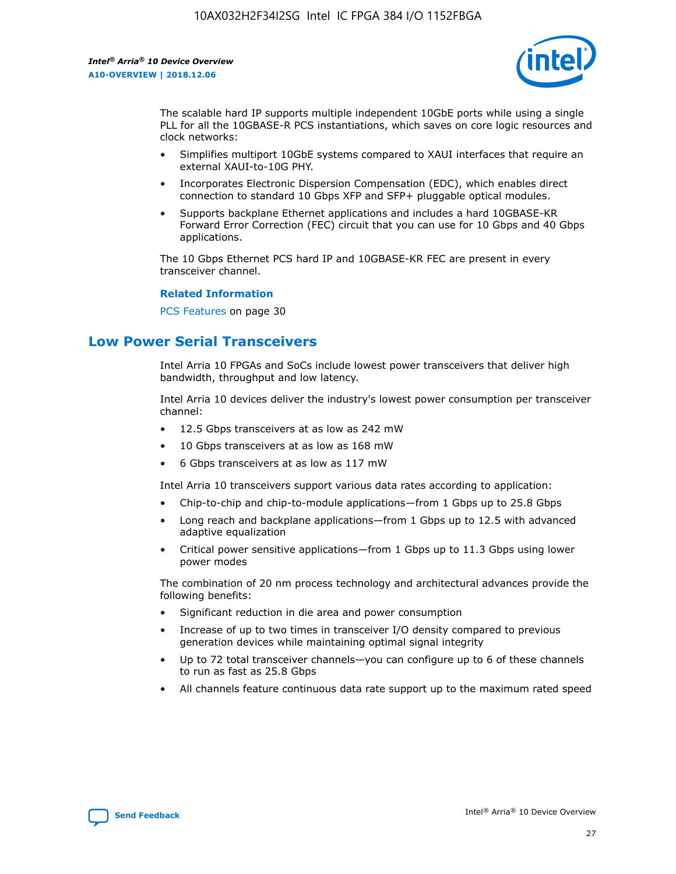

The scalable hard IP supports multiple independent 10GbE ports while using a single PLL for all the 10GBASE-R PCS instantiations, which saves on core logic resources and clock networks:

- Simplifies multiport 10GbE systems compared to XAUI interfaces that require an external XAUI-to-10G PHY.
- Incorporates Electronic Dispersion Compensation (EDC), which enables direct connection to standard 10 Gbps XFP and SFP+ pluggable optical modules.
- Supports backplane Ethernet applications and includes a hard 10GBASE-KR Forward Error Correction (FEC) circuit that you can use for 10 Gbps and 40 Gbps applications.

The 10 Gbps Ethernet PCS hard IP and 10GBASE-KR FEC are present in every transceiver channel.

#### **Related Information**

PCS Features on page 30

# **Low Power Serial Transceivers**

Intel Arria 10 FPGAs and SoCs include lowest power transceivers that deliver high bandwidth, throughput and low latency.

Intel Arria 10 devices deliver the industry's lowest power consumption per transceiver channel:

- 12.5 Gbps transceivers at as low as 242 mW
- 10 Gbps transceivers at as low as 168 mW
- 6 Gbps transceivers at as low as 117 mW

Intel Arria 10 transceivers support various data rates according to application:

- Chip-to-chip and chip-to-module applications—from 1 Gbps up to 25.8 Gbps
- Long reach and backplane applications—from 1 Gbps up to 12.5 with advanced adaptive equalization
- Critical power sensitive applications—from 1 Gbps up to 11.3 Gbps using lower power modes

The combination of 20 nm process technology and architectural advances provide the following benefits:

- Significant reduction in die area and power consumption
- Increase of up to two times in transceiver I/O density compared to previous generation devices while maintaining optimal signal integrity
- Up to 72 total transceiver channels—you can configure up to 6 of these channels to run as fast as 25.8 Gbps
- All channels feature continuous data rate support up to the maximum rated speed

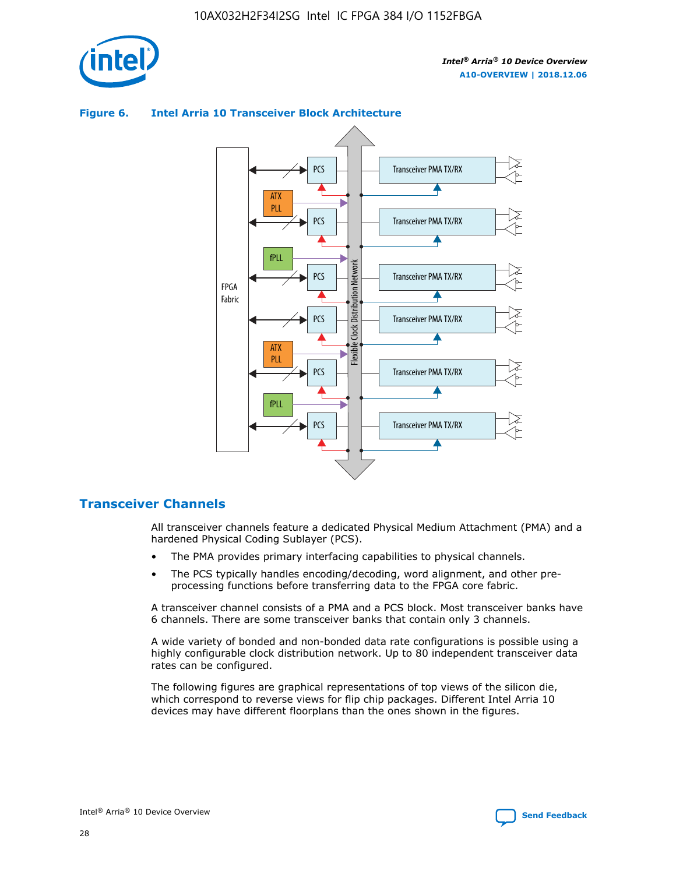





### **Transceiver Channels**

All transceiver channels feature a dedicated Physical Medium Attachment (PMA) and a hardened Physical Coding Sublayer (PCS).

- The PMA provides primary interfacing capabilities to physical channels.
- The PCS typically handles encoding/decoding, word alignment, and other preprocessing functions before transferring data to the FPGA core fabric.

A transceiver channel consists of a PMA and a PCS block. Most transceiver banks have 6 channels. There are some transceiver banks that contain only 3 channels.

A wide variety of bonded and non-bonded data rate configurations is possible using a highly configurable clock distribution network. Up to 80 independent transceiver data rates can be configured.

The following figures are graphical representations of top views of the silicon die, which correspond to reverse views for flip chip packages. Different Intel Arria 10 devices may have different floorplans than the ones shown in the figures.

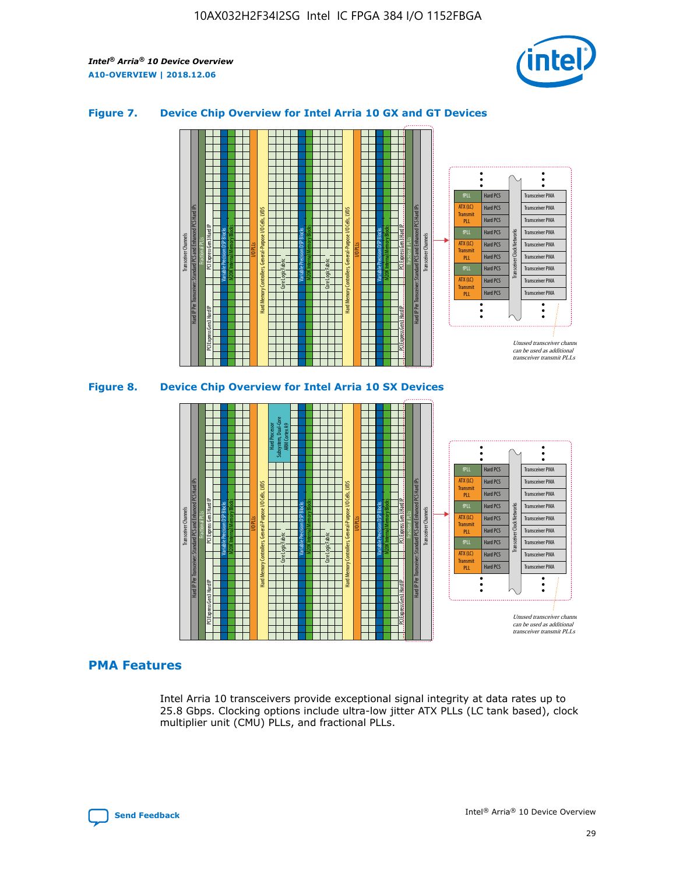

#### **Figure 7. Device Chip Overview for Intel Arria 10 GX and GT Devices**





Transceiver PMA Transceiver PMA Transceiver PMA

Transceiver PMA Transceiver PMA

Hard PCS Hard PCS Hard PCS Hard PCS Hard PCS

ATX (LC) Transmi PLL fPLL ATX (LC) **Transmit** PLL

### **PMA Features**

Intel Arria 10 transceivers provide exceptional signal integrity at data rates up to 25.8 Gbps. Clocking options include ultra-low jitter ATX PLLs (LC tank based), clock multiplier unit (CMU) PLLs, and fractional PLLs.

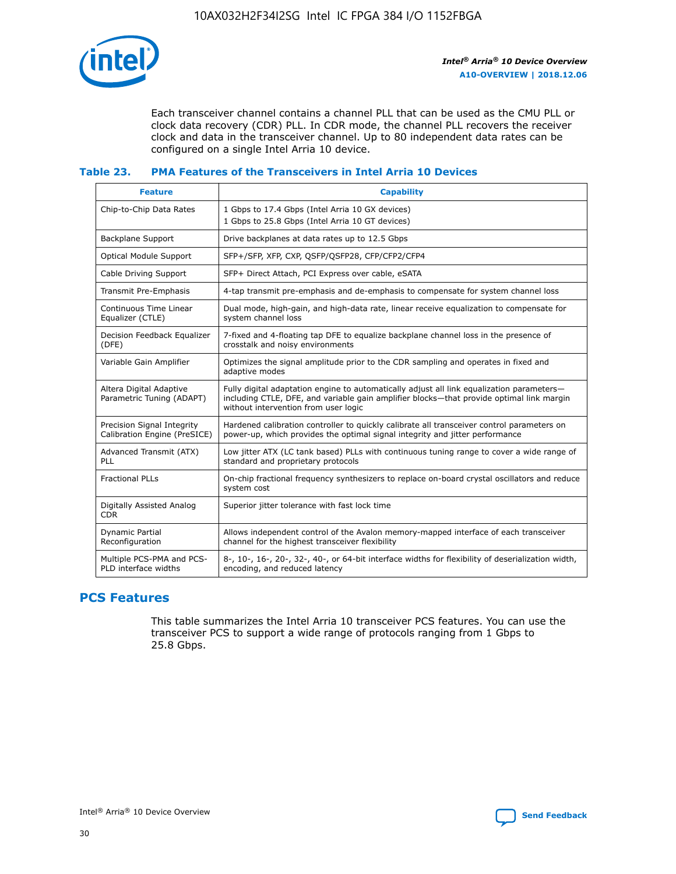

Each transceiver channel contains a channel PLL that can be used as the CMU PLL or clock data recovery (CDR) PLL. In CDR mode, the channel PLL recovers the receiver clock and data in the transceiver channel. Up to 80 independent data rates can be configured on a single Intel Arria 10 device.

#### **Table 23. PMA Features of the Transceivers in Intel Arria 10 Devices**

| <b>Feature</b>                                             | <b>Capability</b>                                                                                                                                                                                                             |
|------------------------------------------------------------|-------------------------------------------------------------------------------------------------------------------------------------------------------------------------------------------------------------------------------|
| Chip-to-Chip Data Rates                                    | 1 Gbps to 17.4 Gbps (Intel Arria 10 GX devices)<br>1 Gbps to 25.8 Gbps (Intel Arria 10 GT devices)                                                                                                                            |
| <b>Backplane Support</b>                                   | Drive backplanes at data rates up to 12.5 Gbps                                                                                                                                                                                |
| <b>Optical Module Support</b>                              | SFP+/SFP, XFP, CXP, QSFP/QSFP28, CFP/CFP2/CFP4                                                                                                                                                                                |
| Cable Driving Support                                      | SFP+ Direct Attach, PCI Express over cable, eSATA                                                                                                                                                                             |
| Transmit Pre-Emphasis                                      | 4-tap transmit pre-emphasis and de-emphasis to compensate for system channel loss                                                                                                                                             |
| Continuous Time Linear<br>Equalizer (CTLE)                 | Dual mode, high-gain, and high-data rate, linear receive equalization to compensate for<br>system channel loss                                                                                                                |
| Decision Feedback Equalizer<br>(DFE)                       | 7-fixed and 4-floating tap DFE to equalize backplane channel loss in the presence of<br>crosstalk and noisy environments                                                                                                      |
| Variable Gain Amplifier                                    | Optimizes the signal amplitude prior to the CDR sampling and operates in fixed and<br>adaptive modes                                                                                                                          |
| Altera Digital Adaptive<br>Parametric Tuning (ADAPT)       | Fully digital adaptation engine to automatically adjust all link equalization parameters-<br>including CTLE, DFE, and variable gain amplifier blocks—that provide optimal link margin<br>without intervention from user logic |
| Precision Signal Integrity<br>Calibration Engine (PreSICE) | Hardened calibration controller to quickly calibrate all transceiver control parameters on<br>power-up, which provides the optimal signal integrity and jitter performance                                                    |
| Advanced Transmit (ATX)<br><b>PLL</b>                      | Low jitter ATX (LC tank based) PLLs with continuous tuning range to cover a wide range of<br>standard and proprietary protocols                                                                                               |
| <b>Fractional PLLs</b>                                     | On-chip fractional frequency synthesizers to replace on-board crystal oscillators and reduce<br>system cost                                                                                                                   |
| Digitally Assisted Analog<br><b>CDR</b>                    | Superior jitter tolerance with fast lock time                                                                                                                                                                                 |
| <b>Dynamic Partial</b><br>Reconfiguration                  | Allows independent control of the Avalon memory-mapped interface of each transceiver<br>channel for the highest transceiver flexibility                                                                                       |
| Multiple PCS-PMA and PCS-<br>PLD interface widths          | 8-, 10-, 16-, 20-, 32-, 40-, or 64-bit interface widths for flexibility of deserialization width,<br>encoding, and reduced latency                                                                                            |

### **PCS Features**

This table summarizes the Intel Arria 10 transceiver PCS features. You can use the transceiver PCS to support a wide range of protocols ranging from 1 Gbps to 25.8 Gbps.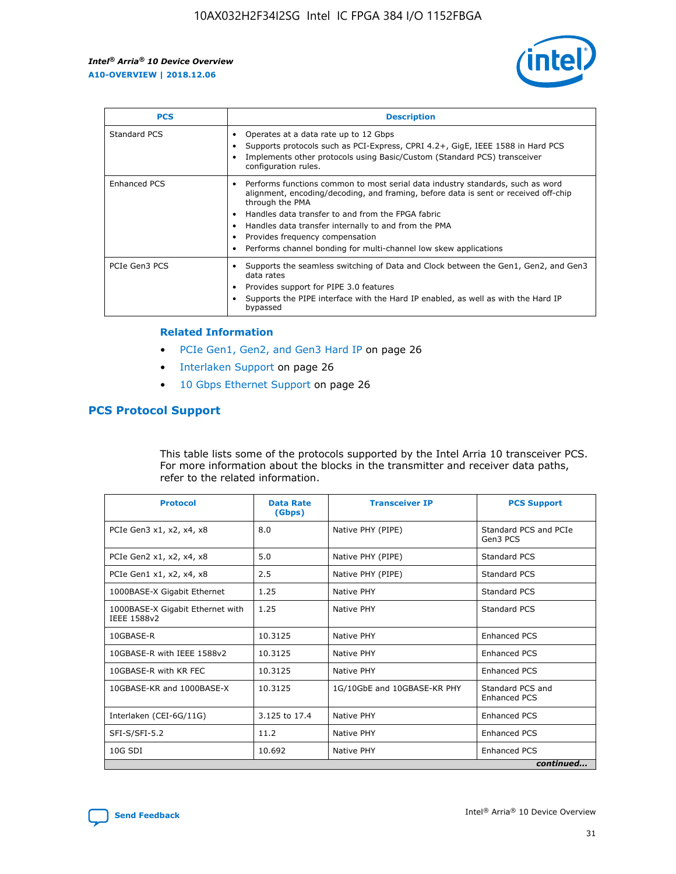

| <b>PCS</b>    | <b>Description</b>                                                                                                                                                                                                                                                                                                                                                                                                          |
|---------------|-----------------------------------------------------------------------------------------------------------------------------------------------------------------------------------------------------------------------------------------------------------------------------------------------------------------------------------------------------------------------------------------------------------------------------|
| Standard PCS  | Operates at a data rate up to 12 Gbps<br>Supports protocols such as PCI-Express, CPRI 4.2+, GigE, IEEE 1588 in Hard PCS<br>Implements other protocols using Basic/Custom (Standard PCS) transceiver<br>configuration rules.                                                                                                                                                                                                 |
| Enhanced PCS  | Performs functions common to most serial data industry standards, such as word<br>$\bullet$<br>alignment, encoding/decoding, and framing, before data is sent or received off-chip<br>through the PMA<br>• Handles data transfer to and from the FPGA fabric<br>Handles data transfer internally to and from the PMA<br>Provides frequency compensation<br>Performs channel bonding for multi-channel low skew applications |
| PCIe Gen3 PCS | Supports the seamless switching of Data and Clock between the Gen1, Gen2, and Gen3<br>data rates<br>Provides support for PIPE 3.0 features<br>Supports the PIPE interface with the Hard IP enabled, as well as with the Hard IP<br>bypassed                                                                                                                                                                                 |

#### **Related Information**

- PCIe Gen1, Gen2, and Gen3 Hard IP on page 26
- Interlaken Support on page 26
- 10 Gbps Ethernet Support on page 26

#### **PCS Protocol Support**

This table lists some of the protocols supported by the Intel Arria 10 transceiver PCS. For more information about the blocks in the transmitter and receiver data paths, refer to the related information.

| <b>Protocol</b>                                 | <b>Data Rate</b><br>(Gbps) | <b>Transceiver IP</b>       | <b>PCS Support</b>                      |
|-------------------------------------------------|----------------------------|-----------------------------|-----------------------------------------|
| PCIe Gen3 x1, x2, x4, x8                        | 8.0                        | Native PHY (PIPE)           | Standard PCS and PCIe<br>Gen3 PCS       |
| PCIe Gen2 x1, x2, x4, x8                        | 5.0                        | Native PHY (PIPE)           | <b>Standard PCS</b>                     |
| PCIe Gen1 x1, x2, x4, x8                        | 2.5                        | Native PHY (PIPE)           | Standard PCS                            |
| 1000BASE-X Gigabit Ethernet                     | 1.25                       | Native PHY                  | <b>Standard PCS</b>                     |
| 1000BASE-X Gigabit Ethernet with<br>IEEE 1588v2 | 1.25                       | Native PHY                  | Standard PCS                            |
| 10GBASE-R                                       | 10.3125                    | Native PHY                  | <b>Enhanced PCS</b>                     |
| 10GBASE-R with IEEE 1588v2                      | 10.3125                    | Native PHY                  | <b>Enhanced PCS</b>                     |
| 10GBASE-R with KR FEC                           | 10.3125                    | Native PHY                  | <b>Enhanced PCS</b>                     |
| 10GBASE-KR and 1000BASE-X                       | 10.3125                    | 1G/10GbE and 10GBASE-KR PHY | Standard PCS and<br><b>Enhanced PCS</b> |
| Interlaken (CEI-6G/11G)                         | 3.125 to 17.4              | Native PHY                  | <b>Enhanced PCS</b>                     |
| SFI-S/SFI-5.2                                   | 11.2                       | Native PHY                  | <b>Enhanced PCS</b>                     |
| $10G$ SDI                                       | 10.692                     | Native PHY                  | <b>Enhanced PCS</b>                     |
|                                                 |                            |                             | continued                               |

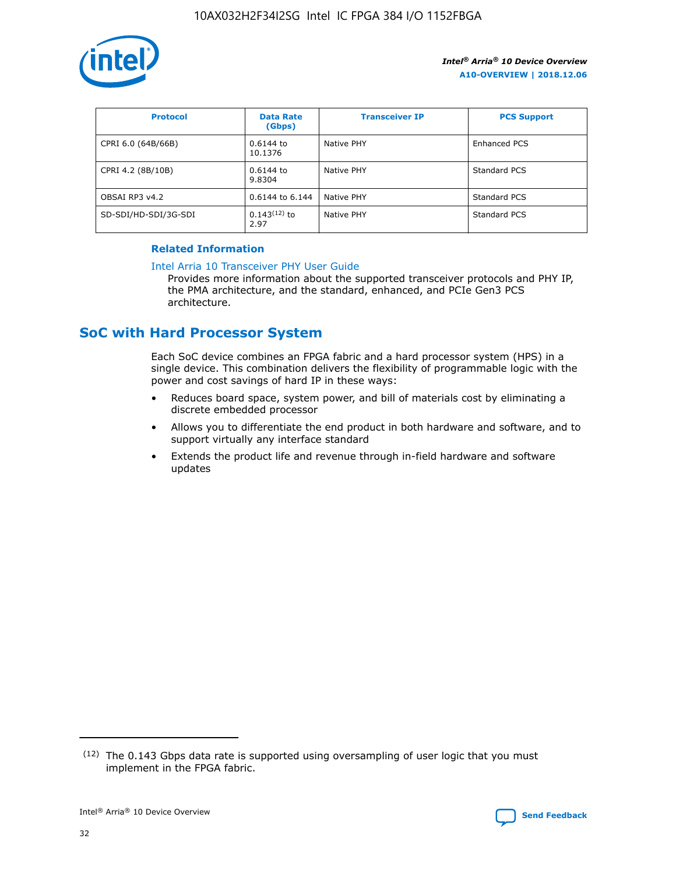

| <b>Protocol</b>      | <b>Data Rate</b><br>(Gbps) | <b>Transceiver IP</b> | <b>PCS Support</b> |
|----------------------|----------------------------|-----------------------|--------------------|
| CPRI 6.0 (64B/66B)   | 0.6144 to<br>10.1376       | Native PHY            | Enhanced PCS       |
| CPRI 4.2 (8B/10B)    | $0.6144$ to<br>9.8304      | Native PHY            | Standard PCS       |
| OBSAI RP3 v4.2       | 0.6144 to 6.144            | Native PHY            | Standard PCS       |
| SD-SDI/HD-SDI/3G-SDI | $0.143(12)$ to<br>2.97     | Native PHY            | Standard PCS       |

#### **Related Information**

#### [Intel Arria 10 Transceiver PHY User Guide](https://www.intel.com/content/www/us/en/programmable/documentation/nik1398707230472.html#nik1398707091164)

Provides more information about the supported transceiver protocols and PHY IP, the PMA architecture, and the standard, enhanced, and PCIe Gen3 PCS architecture.

# **SoC with Hard Processor System**

Each SoC device combines an FPGA fabric and a hard processor system (HPS) in a single device. This combination delivers the flexibility of programmable logic with the power and cost savings of hard IP in these ways:

- Reduces board space, system power, and bill of materials cost by eliminating a discrete embedded processor
- Allows you to differentiate the end product in both hardware and software, and to support virtually any interface standard
- Extends the product life and revenue through in-field hardware and software updates

 $(12)$  The 0.143 Gbps data rate is supported using oversampling of user logic that you must implement in the FPGA fabric.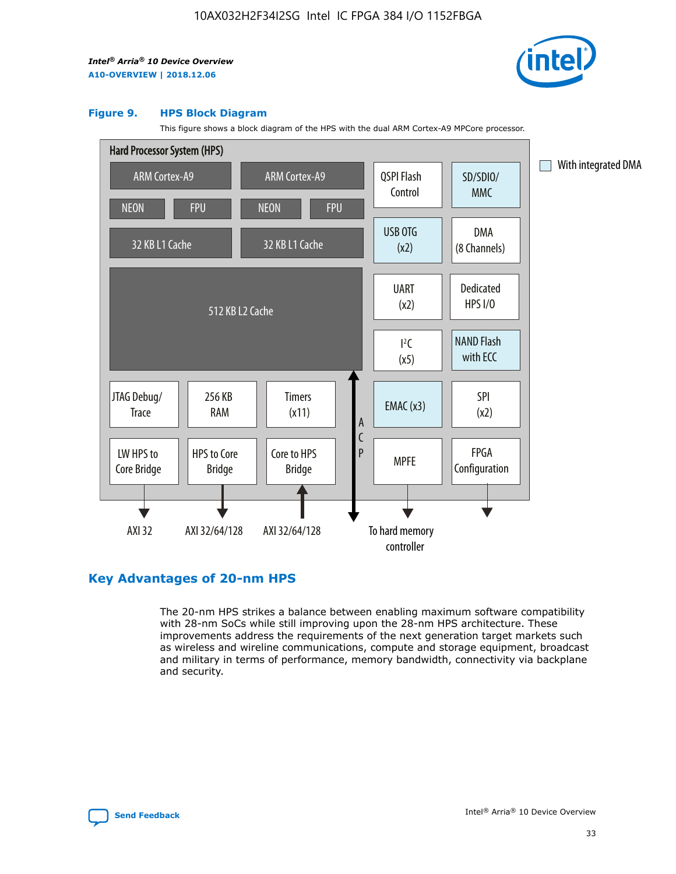

#### **Figure 9. HPS Block Diagram**

This figure shows a block diagram of the HPS with the dual ARM Cortex-A9 MPCore processor.



#### **Key Advantages of 20-nm HPS**

The 20-nm HPS strikes a balance between enabling maximum software compatibility with 28-nm SoCs while still improving upon the 28-nm HPS architecture. These improvements address the requirements of the next generation target markets such as wireless and wireline communications, compute and storage equipment, broadcast and military in terms of performance, memory bandwidth, connectivity via backplane and security.

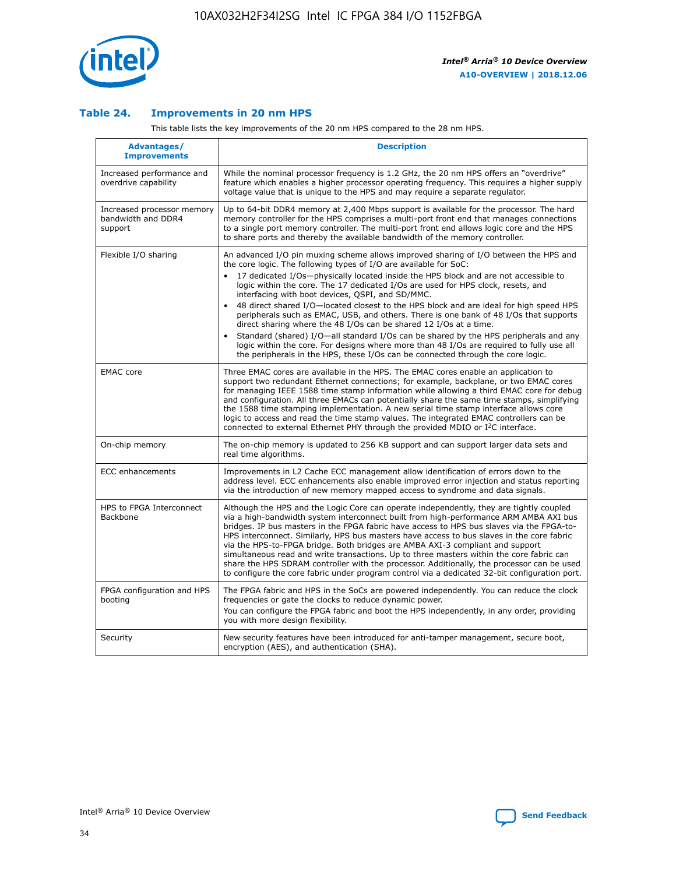

#### **Table 24. Improvements in 20 nm HPS**

This table lists the key improvements of the 20 nm HPS compared to the 28 nm HPS.

| Advantages/<br><b>Improvements</b>                          | <b>Description</b>                                                                                                                                                                                                                                                                                                                                                                                                                                                                                                                                                                                                                                                                                                                                                                                                                                                                                                      |
|-------------------------------------------------------------|-------------------------------------------------------------------------------------------------------------------------------------------------------------------------------------------------------------------------------------------------------------------------------------------------------------------------------------------------------------------------------------------------------------------------------------------------------------------------------------------------------------------------------------------------------------------------------------------------------------------------------------------------------------------------------------------------------------------------------------------------------------------------------------------------------------------------------------------------------------------------------------------------------------------------|
| Increased performance and<br>overdrive capability           | While the nominal processor frequency is 1.2 GHz, the 20 nm HPS offers an "overdrive"<br>feature which enables a higher processor operating frequency. This requires a higher supply<br>voltage value that is unique to the HPS and may require a separate regulator.                                                                                                                                                                                                                                                                                                                                                                                                                                                                                                                                                                                                                                                   |
| Increased processor memory<br>bandwidth and DDR4<br>support | Up to 64-bit DDR4 memory at 2,400 Mbps support is available for the processor. The hard<br>memory controller for the HPS comprises a multi-port front end that manages connections<br>to a single port memory controller. The multi-port front end allows logic core and the HPS<br>to share ports and thereby the available bandwidth of the memory controller.                                                                                                                                                                                                                                                                                                                                                                                                                                                                                                                                                        |
| Flexible I/O sharing                                        | An advanced I/O pin muxing scheme allows improved sharing of I/O between the HPS and<br>the core logic. The following types of I/O are available for SoC:<br>17 dedicated I/Os-physically located inside the HPS block and are not accessible to<br>logic within the core. The 17 dedicated I/Os are used for HPS clock, resets, and<br>interfacing with boot devices, QSPI, and SD/MMC.<br>48 direct shared I/O-located closest to the HPS block and are ideal for high speed HPS<br>peripherals such as EMAC, USB, and others. There is one bank of 48 I/Os that supports<br>direct sharing where the 48 I/Os can be shared 12 I/Os at a time.<br>Standard (shared) I/O-all standard I/Os can be shared by the HPS peripherals and any<br>logic within the core. For designs where more than 48 I/Os are reguired to fully use all<br>the peripherals in the HPS, these I/Os can be connected through the core logic. |
| <b>EMAC</b> core                                            | Three EMAC cores are available in the HPS. The EMAC cores enable an application to<br>support two redundant Ethernet connections; for example, backplane, or two EMAC cores<br>for managing IEEE 1588 time stamp information while allowing a third EMAC core for debug<br>and configuration. All three EMACs can potentially share the same time stamps, simplifying<br>the 1588 time stamping implementation. A new serial time stamp interface allows core<br>logic to access and read the time stamp values. The integrated EMAC controllers can be<br>connected to external Ethernet PHY through the provided MDIO or I <sup>2</sup> C interface.                                                                                                                                                                                                                                                                  |
| On-chip memory                                              | The on-chip memory is updated to 256 KB support and can support larger data sets and<br>real time algorithms.                                                                                                                                                                                                                                                                                                                                                                                                                                                                                                                                                                                                                                                                                                                                                                                                           |
| <b>ECC</b> enhancements                                     | Improvements in L2 Cache ECC management allow identification of errors down to the<br>address level. ECC enhancements also enable improved error injection and status reporting<br>via the introduction of new memory mapped access to syndrome and data signals.                                                                                                                                                                                                                                                                                                                                                                                                                                                                                                                                                                                                                                                       |
| HPS to FPGA Interconnect<br>Backbone                        | Although the HPS and the Logic Core can operate independently, they are tightly coupled<br>via a high-bandwidth system interconnect built from high-performance ARM AMBA AXI bus<br>bridges. IP bus masters in the FPGA fabric have access to HPS bus slaves via the FPGA-to-<br>HPS interconnect. Similarly, HPS bus masters have access to bus slaves in the core fabric<br>via the HPS-to-FPGA bridge. Both bridges are AMBA AXI-3 compliant and support<br>simultaneous read and write transactions. Up to three masters within the core fabric can<br>share the HPS SDRAM controller with the processor. Additionally, the processor can be used<br>to configure the core fabric under program control via a dedicated 32-bit configuration port.                                                                                                                                                                  |
| FPGA configuration and HPS<br>booting                       | The FPGA fabric and HPS in the SoCs are powered independently. You can reduce the clock<br>frequencies or gate the clocks to reduce dynamic power.<br>You can configure the FPGA fabric and boot the HPS independently, in any order, providing<br>you with more design flexibility.                                                                                                                                                                                                                                                                                                                                                                                                                                                                                                                                                                                                                                    |
| Security                                                    | New security features have been introduced for anti-tamper management, secure boot,<br>encryption (AES), and authentication (SHA).                                                                                                                                                                                                                                                                                                                                                                                                                                                                                                                                                                                                                                                                                                                                                                                      |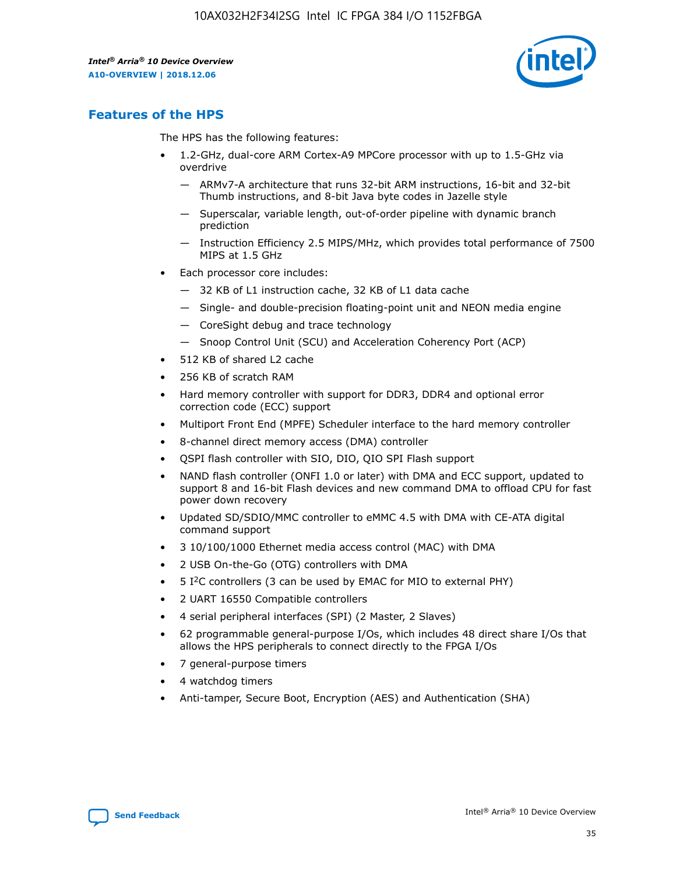

# **Features of the HPS**

The HPS has the following features:

- 1.2-GHz, dual-core ARM Cortex-A9 MPCore processor with up to 1.5-GHz via overdrive
	- ARMv7-A architecture that runs 32-bit ARM instructions, 16-bit and 32-bit Thumb instructions, and 8-bit Java byte codes in Jazelle style
	- Superscalar, variable length, out-of-order pipeline with dynamic branch prediction
	- Instruction Efficiency 2.5 MIPS/MHz, which provides total performance of 7500 MIPS at 1.5 GHz
- Each processor core includes:
	- 32 KB of L1 instruction cache, 32 KB of L1 data cache
	- Single- and double-precision floating-point unit and NEON media engine
	- CoreSight debug and trace technology
	- Snoop Control Unit (SCU) and Acceleration Coherency Port (ACP)
- 512 KB of shared L2 cache
- 256 KB of scratch RAM
- Hard memory controller with support for DDR3, DDR4 and optional error correction code (ECC) support
- Multiport Front End (MPFE) Scheduler interface to the hard memory controller
- 8-channel direct memory access (DMA) controller
- QSPI flash controller with SIO, DIO, QIO SPI Flash support
- NAND flash controller (ONFI 1.0 or later) with DMA and ECC support, updated to support 8 and 16-bit Flash devices and new command DMA to offload CPU for fast power down recovery
- Updated SD/SDIO/MMC controller to eMMC 4.5 with DMA with CE-ATA digital command support
- 3 10/100/1000 Ethernet media access control (MAC) with DMA
- 2 USB On-the-Go (OTG) controllers with DMA
- $\bullet$  5 I<sup>2</sup>C controllers (3 can be used by EMAC for MIO to external PHY)
- 2 UART 16550 Compatible controllers
- 4 serial peripheral interfaces (SPI) (2 Master, 2 Slaves)
- 62 programmable general-purpose I/Os, which includes 48 direct share I/Os that allows the HPS peripherals to connect directly to the FPGA I/Os
- 7 general-purpose timers
- 4 watchdog timers
- Anti-tamper, Secure Boot, Encryption (AES) and Authentication (SHA)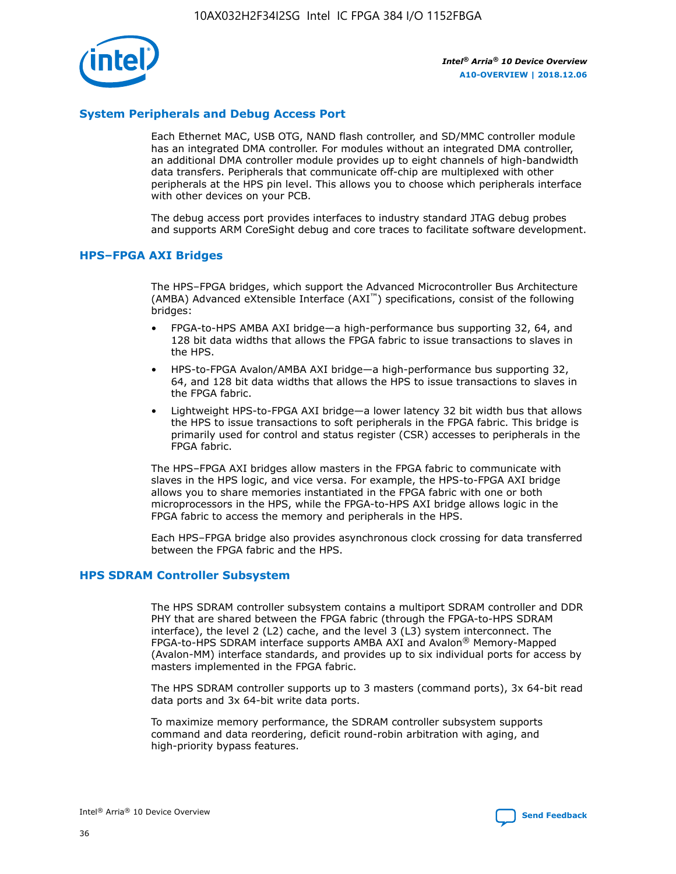

#### **System Peripherals and Debug Access Port**

Each Ethernet MAC, USB OTG, NAND flash controller, and SD/MMC controller module has an integrated DMA controller. For modules without an integrated DMA controller, an additional DMA controller module provides up to eight channels of high-bandwidth data transfers. Peripherals that communicate off-chip are multiplexed with other peripherals at the HPS pin level. This allows you to choose which peripherals interface with other devices on your PCB.

The debug access port provides interfaces to industry standard JTAG debug probes and supports ARM CoreSight debug and core traces to facilitate software development.

#### **HPS–FPGA AXI Bridges**

The HPS–FPGA bridges, which support the Advanced Microcontroller Bus Architecture (AMBA) Advanced eXtensible Interface (AXI™) specifications, consist of the following bridges:

- FPGA-to-HPS AMBA AXI bridge—a high-performance bus supporting 32, 64, and 128 bit data widths that allows the FPGA fabric to issue transactions to slaves in the HPS.
- HPS-to-FPGA Avalon/AMBA AXI bridge—a high-performance bus supporting 32, 64, and 128 bit data widths that allows the HPS to issue transactions to slaves in the FPGA fabric.
- Lightweight HPS-to-FPGA AXI bridge—a lower latency 32 bit width bus that allows the HPS to issue transactions to soft peripherals in the FPGA fabric. This bridge is primarily used for control and status register (CSR) accesses to peripherals in the FPGA fabric.

The HPS–FPGA AXI bridges allow masters in the FPGA fabric to communicate with slaves in the HPS logic, and vice versa. For example, the HPS-to-FPGA AXI bridge allows you to share memories instantiated in the FPGA fabric with one or both microprocessors in the HPS, while the FPGA-to-HPS AXI bridge allows logic in the FPGA fabric to access the memory and peripherals in the HPS.

Each HPS–FPGA bridge also provides asynchronous clock crossing for data transferred between the FPGA fabric and the HPS.

#### **HPS SDRAM Controller Subsystem**

The HPS SDRAM controller subsystem contains a multiport SDRAM controller and DDR PHY that are shared between the FPGA fabric (through the FPGA-to-HPS SDRAM interface), the level 2 (L2) cache, and the level 3 (L3) system interconnect. The FPGA-to-HPS SDRAM interface supports AMBA AXI and Avalon® Memory-Mapped (Avalon-MM) interface standards, and provides up to six individual ports for access by masters implemented in the FPGA fabric.

The HPS SDRAM controller supports up to 3 masters (command ports), 3x 64-bit read data ports and 3x 64-bit write data ports.

To maximize memory performance, the SDRAM controller subsystem supports command and data reordering, deficit round-robin arbitration with aging, and high-priority bypass features.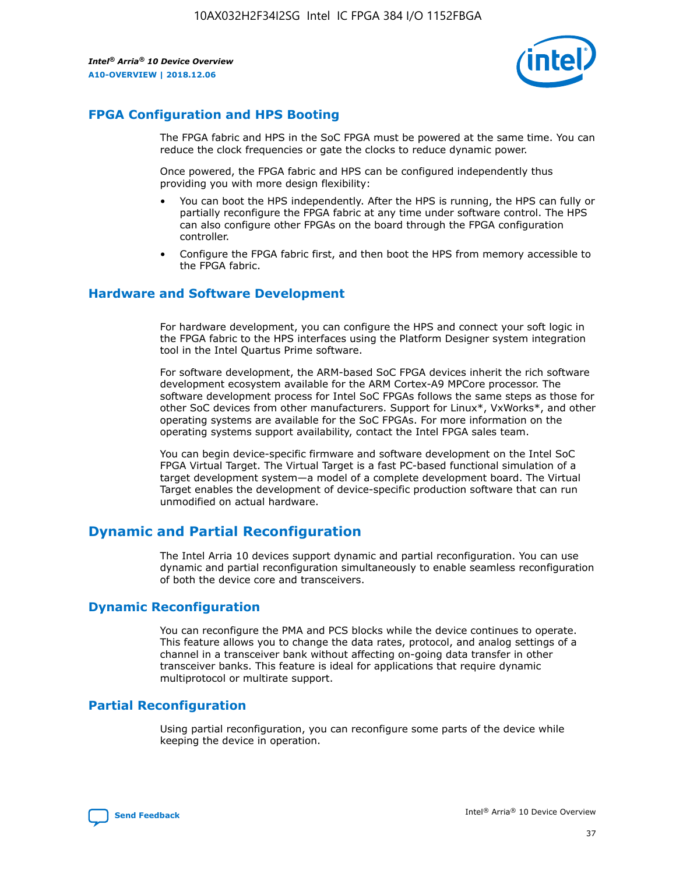

#### **FPGA Configuration and HPS Booting**

The FPGA fabric and HPS in the SoC FPGA must be powered at the same time. You can reduce the clock frequencies or gate the clocks to reduce dynamic power.

Once powered, the FPGA fabric and HPS can be configured independently thus providing you with more design flexibility:

- You can boot the HPS independently. After the HPS is running, the HPS can fully or partially reconfigure the FPGA fabric at any time under software control. The HPS can also configure other FPGAs on the board through the FPGA configuration controller.
- Configure the FPGA fabric first, and then boot the HPS from memory accessible to the FPGA fabric.

#### **Hardware and Software Development**

For hardware development, you can configure the HPS and connect your soft logic in the FPGA fabric to the HPS interfaces using the Platform Designer system integration tool in the Intel Quartus Prime software.

For software development, the ARM-based SoC FPGA devices inherit the rich software development ecosystem available for the ARM Cortex-A9 MPCore processor. The software development process for Intel SoC FPGAs follows the same steps as those for other SoC devices from other manufacturers. Support for Linux\*, VxWorks\*, and other operating systems are available for the SoC FPGAs. For more information on the operating systems support availability, contact the Intel FPGA sales team.

You can begin device-specific firmware and software development on the Intel SoC FPGA Virtual Target. The Virtual Target is a fast PC-based functional simulation of a target development system—a model of a complete development board. The Virtual Target enables the development of device-specific production software that can run unmodified on actual hardware.

### **Dynamic and Partial Reconfiguration**

The Intel Arria 10 devices support dynamic and partial reconfiguration. You can use dynamic and partial reconfiguration simultaneously to enable seamless reconfiguration of both the device core and transceivers.

#### **Dynamic Reconfiguration**

You can reconfigure the PMA and PCS blocks while the device continues to operate. This feature allows you to change the data rates, protocol, and analog settings of a channel in a transceiver bank without affecting on-going data transfer in other transceiver banks. This feature is ideal for applications that require dynamic multiprotocol or multirate support.

# **Partial Reconfiguration**

Using partial reconfiguration, you can reconfigure some parts of the device while keeping the device in operation.

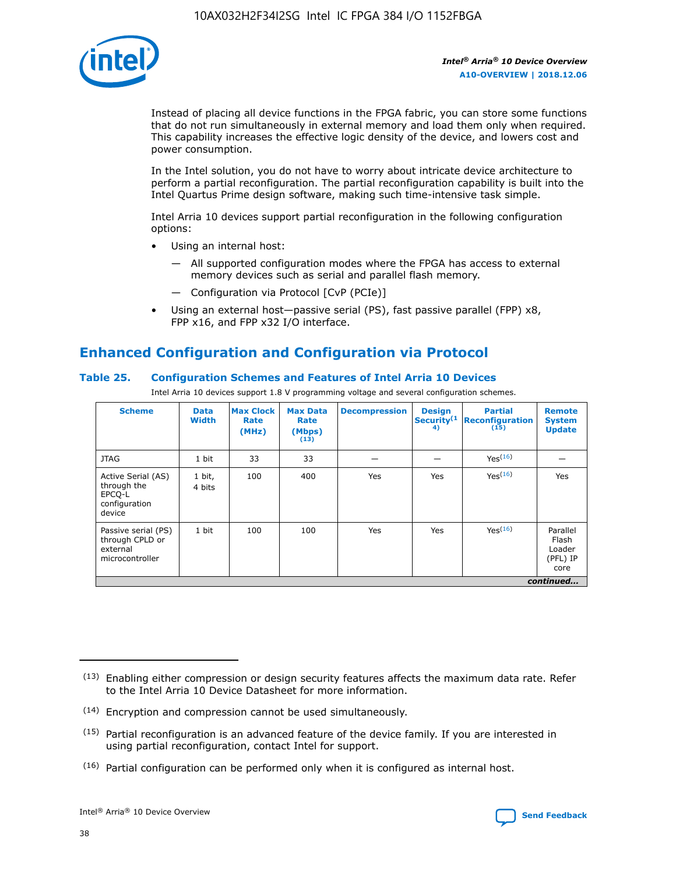

Instead of placing all device functions in the FPGA fabric, you can store some functions that do not run simultaneously in external memory and load them only when required. This capability increases the effective logic density of the device, and lowers cost and power consumption.

In the Intel solution, you do not have to worry about intricate device architecture to perform a partial reconfiguration. The partial reconfiguration capability is built into the Intel Quartus Prime design software, making such time-intensive task simple.

Intel Arria 10 devices support partial reconfiguration in the following configuration options:

- Using an internal host:
	- All supported configuration modes where the FPGA has access to external memory devices such as serial and parallel flash memory.
	- Configuration via Protocol [CvP (PCIe)]
- Using an external host—passive serial (PS), fast passive parallel (FPP) x8, FPP x16, and FPP x32 I/O interface.

# **Enhanced Configuration and Configuration via Protocol**

#### **Table 25. Configuration Schemes and Features of Intel Arria 10 Devices**

Intel Arria 10 devices support 1.8 V programming voltage and several configuration schemes.

| <b>Scheme</b>                                                          | <b>Data</b><br><b>Width</b> | <b>Max Clock</b><br>Rate<br>(MHz) | <b>Max Data</b><br>Rate<br>(Mbps)<br>(13) | <b>Decompression</b> | <b>Design</b><br>Security <sup>(1</sup><br>4) | <b>Partial</b><br><b>Reconfiguration</b><br>(15) | <b>Remote</b><br><b>System</b><br><b>Update</b> |
|------------------------------------------------------------------------|-----------------------------|-----------------------------------|-------------------------------------------|----------------------|-----------------------------------------------|--------------------------------------------------|-------------------------------------------------|
| <b>JTAG</b>                                                            | 1 bit                       | 33                                | 33                                        |                      |                                               | Yes(16)                                          |                                                 |
| Active Serial (AS)<br>through the<br>EPCO-L<br>configuration<br>device | 1 bit,<br>4 bits            | 100                               | 400                                       | Yes                  | Yes                                           | $Y_{PS}(16)$                                     | Yes                                             |
| Passive serial (PS)<br>through CPLD or<br>external<br>microcontroller  | 1 bit                       | 100                               | 100                                       | Yes                  | Yes                                           | Yes(16)                                          | Parallel<br>Flash<br>Loader<br>(PFL) IP<br>core |
|                                                                        | continued                   |                                   |                                           |                      |                                               |                                                  |                                                 |

<sup>(13)</sup> Enabling either compression or design security features affects the maximum data rate. Refer to the Intel Arria 10 Device Datasheet for more information.

<sup>(14)</sup> Encryption and compression cannot be used simultaneously.

 $<sup>(15)</sup>$  Partial reconfiguration is an advanced feature of the device family. If you are interested in</sup> using partial reconfiguration, contact Intel for support.

 $(16)$  Partial configuration can be performed only when it is configured as internal host.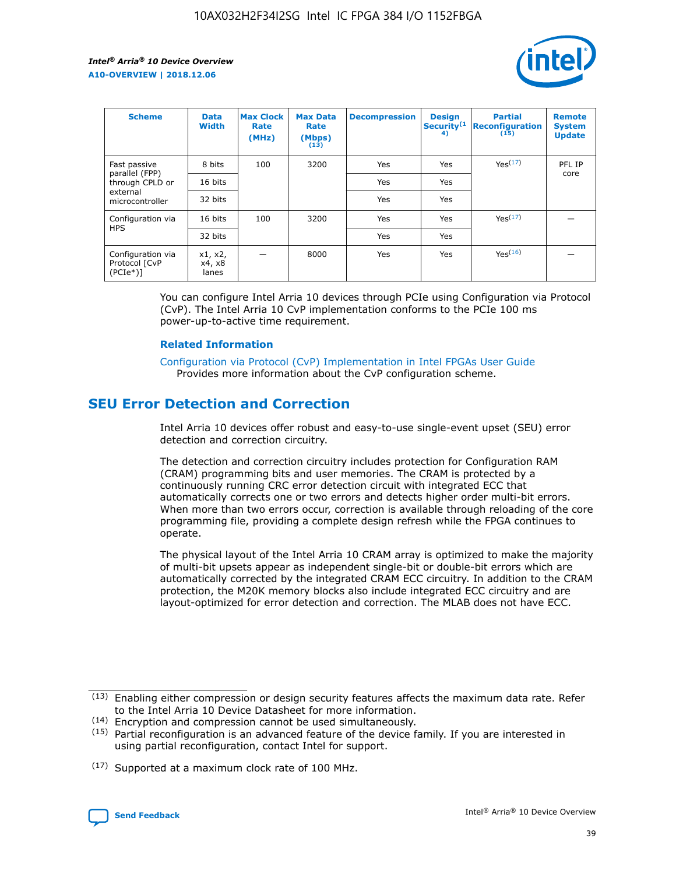

| <b>Scheme</b>                                   | <b>Data</b><br><b>Width</b> | <b>Max Clock</b><br>Rate<br>(MHz) | <b>Max Data</b><br>Rate<br>(Mbps)<br>(13) | <b>Decompression</b> | <b>Design</b><br>Security <sup>(1</sup><br>4) | <b>Partial</b><br><b>Reconfiguration</b><br>(15) | <b>Remote</b><br><b>System</b><br><b>Update</b> |
|-------------------------------------------------|-----------------------------|-----------------------------------|-------------------------------------------|----------------------|-----------------------------------------------|--------------------------------------------------|-------------------------------------------------|
| Fast passive                                    | 8 bits                      | 100                               | 3200                                      | Yes                  | Yes                                           | Yes(17)                                          | PFL IP                                          |
| parallel (FPP)<br>through CPLD or               | 16 bits                     |                                   |                                           | Yes                  | Yes                                           |                                                  | core                                            |
| external<br>microcontroller                     | 32 bits                     |                                   |                                           | Yes                  | Yes                                           |                                                  |                                                 |
| Configuration via                               | 16 bits                     | 100                               | 3200                                      | Yes                  | Yes                                           | Yes <sup>(17)</sup>                              |                                                 |
| <b>HPS</b>                                      | 32 bits                     |                                   |                                           | Yes                  | Yes                                           |                                                  |                                                 |
| Configuration via<br>Protocol [CvP<br>$(PCIe*)$ | x1, x2,<br>x4, x8<br>lanes  |                                   | 8000                                      | Yes                  | Yes                                           | Yes <sup>(16)</sup>                              |                                                 |

You can configure Intel Arria 10 devices through PCIe using Configuration via Protocol (CvP). The Intel Arria 10 CvP implementation conforms to the PCIe 100 ms power-up-to-active time requirement.

#### **Related Information**

[Configuration via Protocol \(CvP\) Implementation in Intel FPGAs User Guide](https://www.intel.com/content/www/us/en/programmable/documentation/dsu1441819344145.html#dsu1442269728522) Provides more information about the CvP configuration scheme.

# **SEU Error Detection and Correction**

Intel Arria 10 devices offer robust and easy-to-use single-event upset (SEU) error detection and correction circuitry.

The detection and correction circuitry includes protection for Configuration RAM (CRAM) programming bits and user memories. The CRAM is protected by a continuously running CRC error detection circuit with integrated ECC that automatically corrects one or two errors and detects higher order multi-bit errors. When more than two errors occur, correction is available through reloading of the core programming file, providing a complete design refresh while the FPGA continues to operate.

The physical layout of the Intel Arria 10 CRAM array is optimized to make the majority of multi-bit upsets appear as independent single-bit or double-bit errors which are automatically corrected by the integrated CRAM ECC circuitry. In addition to the CRAM protection, the M20K memory blocks also include integrated ECC circuitry and are layout-optimized for error detection and correction. The MLAB does not have ECC.

(14) Encryption and compression cannot be used simultaneously.

<sup>(17)</sup> Supported at a maximum clock rate of 100 MHz.



 $(13)$  Enabling either compression or design security features affects the maximum data rate. Refer to the Intel Arria 10 Device Datasheet for more information.

 $(15)$  Partial reconfiguration is an advanced feature of the device family. If you are interested in using partial reconfiguration, contact Intel for support.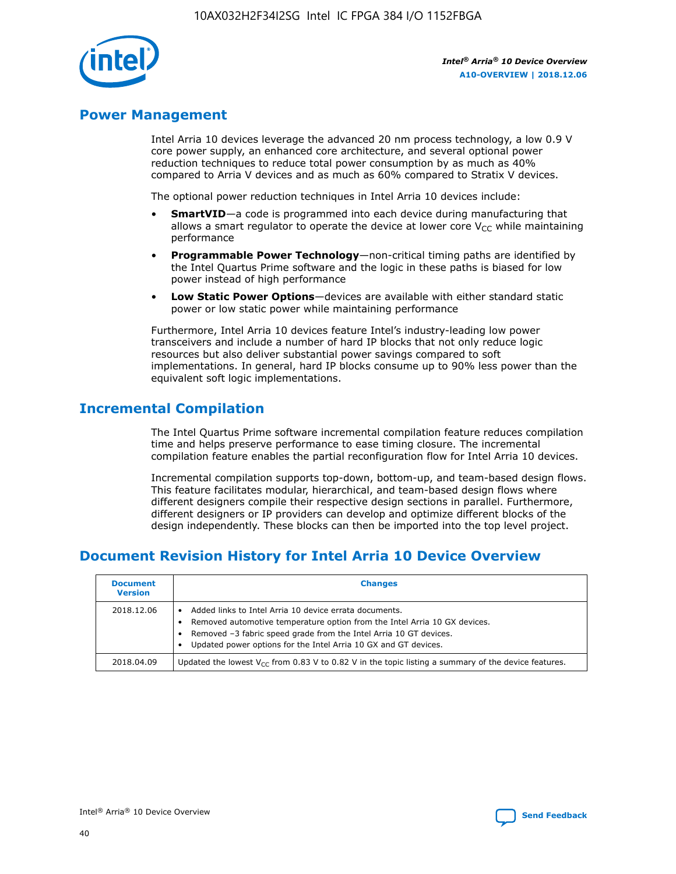

# **Power Management**

Intel Arria 10 devices leverage the advanced 20 nm process technology, a low 0.9 V core power supply, an enhanced core architecture, and several optional power reduction techniques to reduce total power consumption by as much as 40% compared to Arria V devices and as much as 60% compared to Stratix V devices.

The optional power reduction techniques in Intel Arria 10 devices include:

- **SmartVID**—a code is programmed into each device during manufacturing that allows a smart regulator to operate the device at lower core  $V_{CC}$  while maintaining performance
- **Programmable Power Technology**—non-critical timing paths are identified by the Intel Quartus Prime software and the logic in these paths is biased for low power instead of high performance
- **Low Static Power Options**—devices are available with either standard static power or low static power while maintaining performance

Furthermore, Intel Arria 10 devices feature Intel's industry-leading low power transceivers and include a number of hard IP blocks that not only reduce logic resources but also deliver substantial power savings compared to soft implementations. In general, hard IP blocks consume up to 90% less power than the equivalent soft logic implementations.

# **Incremental Compilation**

The Intel Quartus Prime software incremental compilation feature reduces compilation time and helps preserve performance to ease timing closure. The incremental compilation feature enables the partial reconfiguration flow for Intel Arria 10 devices.

Incremental compilation supports top-down, bottom-up, and team-based design flows. This feature facilitates modular, hierarchical, and team-based design flows where different designers compile their respective design sections in parallel. Furthermore, different designers or IP providers can develop and optimize different blocks of the design independently. These blocks can then be imported into the top level project.

# **Document Revision History for Intel Arria 10 Device Overview**

| <b>Document</b><br><b>Version</b> | <b>Changes</b>                                                                                                                                                                                                                                                              |
|-----------------------------------|-----------------------------------------------------------------------------------------------------------------------------------------------------------------------------------------------------------------------------------------------------------------------------|
| 2018.12.06                        | Added links to Intel Arria 10 device errata documents.<br>Removed automotive temperature option from the Intel Arria 10 GX devices.<br>Removed -3 fabric speed grade from the Intel Arria 10 GT devices.<br>Updated power options for the Intel Arria 10 GX and GT devices. |
| 2018.04.09                        | Updated the lowest $V_{CC}$ from 0.83 V to 0.82 V in the topic listing a summary of the device features.                                                                                                                                                                    |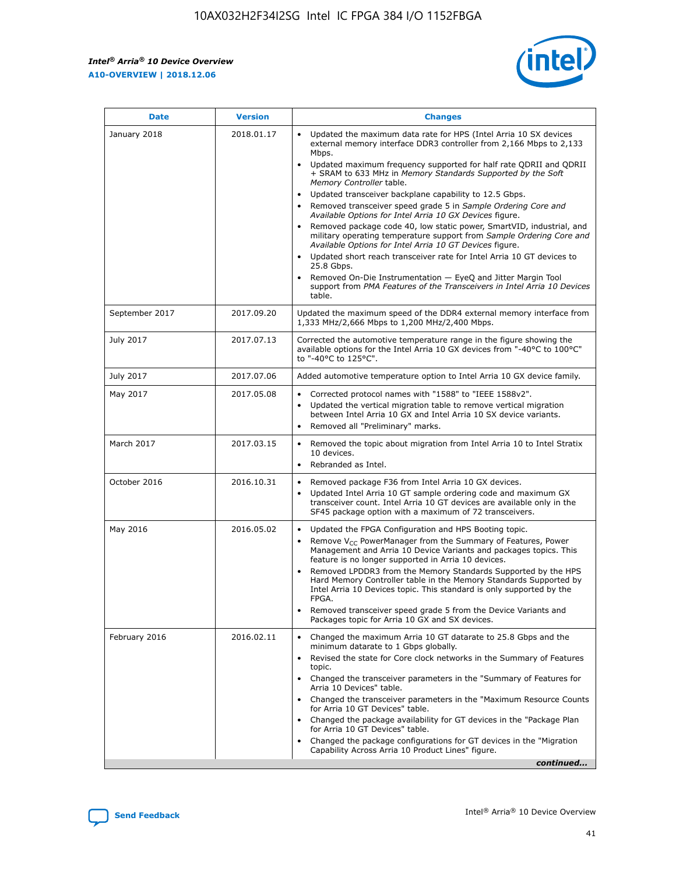*Intel® Arria® 10 Device Overview* **A10-OVERVIEW | 2018.12.06**



| <b>Date</b>    | <b>Version</b> | <b>Changes</b>                                                                                                                                                                                                                                                                                                                                                                                                                                                                                                                                                                                                                                                                                                                                                                                                                                                                                                                                                            |
|----------------|----------------|---------------------------------------------------------------------------------------------------------------------------------------------------------------------------------------------------------------------------------------------------------------------------------------------------------------------------------------------------------------------------------------------------------------------------------------------------------------------------------------------------------------------------------------------------------------------------------------------------------------------------------------------------------------------------------------------------------------------------------------------------------------------------------------------------------------------------------------------------------------------------------------------------------------------------------------------------------------------------|
| January 2018   | 2018.01.17     | Updated the maximum data rate for HPS (Intel Arria 10 SX devices<br>external memory interface DDR3 controller from 2,166 Mbps to 2,133<br>Mbps.<br>Updated maximum frequency supported for half rate QDRII and QDRII<br>+ SRAM to 633 MHz in Memory Standards Supported by the Soft<br>Memory Controller table.<br>Updated transceiver backplane capability to 12.5 Gbps.<br>$\bullet$<br>Removed transceiver speed grade 5 in Sample Ordering Core and<br>Available Options for Intel Arria 10 GX Devices figure.<br>Removed package code 40, low static power, SmartVID, industrial, and<br>military operating temperature support from Sample Ordering Core and<br>Available Options for Intel Arria 10 GT Devices figure.<br>Updated short reach transceiver rate for Intel Arria 10 GT devices to<br>25.8 Gbps.<br>Removed On-Die Instrumentation - EyeQ and Jitter Margin Tool<br>support from PMA Features of the Transceivers in Intel Arria 10 Devices<br>table. |
| September 2017 | 2017.09.20     | Updated the maximum speed of the DDR4 external memory interface from<br>1,333 MHz/2,666 Mbps to 1,200 MHz/2,400 Mbps.                                                                                                                                                                                                                                                                                                                                                                                                                                                                                                                                                                                                                                                                                                                                                                                                                                                     |
| July 2017      | 2017.07.13     | Corrected the automotive temperature range in the figure showing the<br>available options for the Intel Arria 10 GX devices from "-40°C to 100°C"<br>to "-40°C to 125°C".                                                                                                                                                                                                                                                                                                                                                                                                                                                                                                                                                                                                                                                                                                                                                                                                 |
| July 2017      | 2017.07.06     | Added automotive temperature option to Intel Arria 10 GX device family.                                                                                                                                                                                                                                                                                                                                                                                                                                                                                                                                                                                                                                                                                                                                                                                                                                                                                                   |
| May 2017       | 2017.05.08     | Corrected protocol names with "1588" to "IEEE 1588v2".<br>$\bullet$<br>Updated the vertical migration table to remove vertical migration<br>$\bullet$<br>between Intel Arria 10 GX and Intel Arria 10 SX device variants.<br>Removed all "Preliminary" marks.<br>$\bullet$                                                                                                                                                                                                                                                                                                                                                                                                                                                                                                                                                                                                                                                                                                |
| March 2017     | 2017.03.15     | Removed the topic about migration from Intel Arria 10 to Intel Stratix<br>10 devices.<br>Rebranded as Intel.<br>$\bullet$                                                                                                                                                                                                                                                                                                                                                                                                                                                                                                                                                                                                                                                                                                                                                                                                                                                 |
| October 2016   | 2016.10.31     | Removed package F36 from Intel Arria 10 GX devices.<br>Updated Intel Arria 10 GT sample ordering code and maximum GX<br>$\bullet$<br>transceiver count. Intel Arria 10 GT devices are available only in the<br>SF45 package option with a maximum of 72 transceivers.                                                                                                                                                                                                                                                                                                                                                                                                                                                                                                                                                                                                                                                                                                     |
| May 2016       | 2016.05.02     | Updated the FPGA Configuration and HPS Booting topic.<br>$\bullet$<br>Remove V <sub>CC</sub> PowerManager from the Summary of Features, Power<br>Management and Arria 10 Device Variants and packages topics. This<br>feature is no longer supported in Arria 10 devices.<br>Removed LPDDR3 from the Memory Standards Supported by the HPS<br>Hard Memory Controller table in the Memory Standards Supported by<br>Intel Arria 10 Devices topic. This standard is only supported by the<br>FPGA.<br>Removed transceiver speed grade 5 from the Device Variants and<br>Packages topic for Arria 10 GX and SX devices.                                                                                                                                                                                                                                                                                                                                                      |
| February 2016  | 2016.02.11     | Changed the maximum Arria 10 GT datarate to 25.8 Gbps and the<br>minimum datarate to 1 Gbps globally.<br>Revised the state for Core clock networks in the Summary of Features<br>$\bullet$<br>topic.<br>Changed the transceiver parameters in the "Summary of Features for<br>$\bullet$<br>Arria 10 Devices" table.<br>• Changed the transceiver parameters in the "Maximum Resource Counts<br>for Arria 10 GT Devices" table.<br>Changed the package availability for GT devices in the "Package Plan<br>for Arria 10 GT Devices" table.<br>Changed the package configurations for GT devices in the "Migration"<br>Capability Across Arria 10 Product Lines" figure.<br>continued                                                                                                                                                                                                                                                                                       |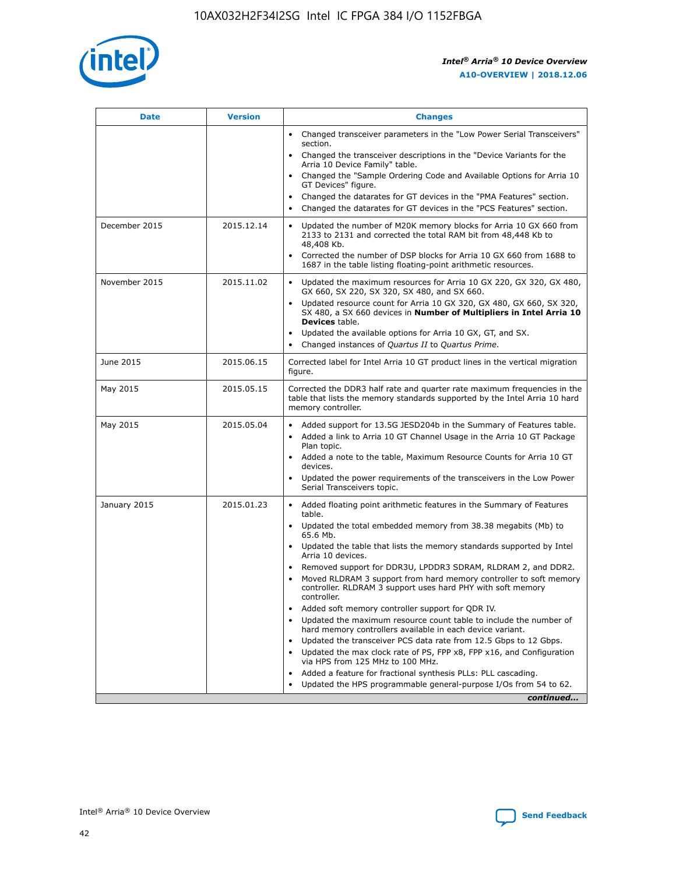

| <b>Date</b>   | <b>Version</b> | <b>Changes</b>                                                                                                                                                               |
|---------------|----------------|------------------------------------------------------------------------------------------------------------------------------------------------------------------------------|
|               |                | • Changed transceiver parameters in the "Low Power Serial Transceivers"<br>section.                                                                                          |
|               |                | Changed the transceiver descriptions in the "Device Variants for the<br>Arria 10 Device Family" table.                                                                       |
|               |                | Changed the "Sample Ordering Code and Available Options for Arria 10<br>GT Devices" figure.                                                                                  |
|               |                | Changed the datarates for GT devices in the "PMA Features" section.                                                                                                          |
|               |                | Changed the datarates for GT devices in the "PCS Features" section.                                                                                                          |
| December 2015 | 2015.12.14     | Updated the number of M20K memory blocks for Arria 10 GX 660 from<br>2133 to 2131 and corrected the total RAM bit from 48,448 Kb to<br>48,408 Kb.                            |
|               |                | Corrected the number of DSP blocks for Arria 10 GX 660 from 1688 to<br>$\bullet$<br>1687 in the table listing floating-point arithmetic resources.                           |
| November 2015 | 2015.11.02     | Updated the maximum resources for Arria 10 GX 220, GX 320, GX 480,<br>GX 660, SX 220, SX 320, SX 480, and SX 660.                                                            |
|               |                | • Updated resource count for Arria 10 GX 320, GX 480, GX 660, SX 320,<br>SX 480, a SX 660 devices in Number of Multipliers in Intel Arria 10<br><b>Devices</b> table.        |
|               |                | Updated the available options for Arria 10 GX, GT, and SX.                                                                                                                   |
|               |                | Changed instances of Quartus II to Quartus Prime.<br>$\bullet$                                                                                                               |
| June 2015     | 2015.06.15     | Corrected label for Intel Arria 10 GT product lines in the vertical migration<br>figure.                                                                                     |
| May 2015      | 2015.05.15     | Corrected the DDR3 half rate and quarter rate maximum frequencies in the<br>table that lists the memory standards supported by the Intel Arria 10 hard<br>memory controller. |
| May 2015      | 2015.05.04     | • Added support for 13.5G JESD204b in the Summary of Features table.<br>Added a link to Arria 10 GT Channel Usage in the Arria 10 GT Package<br>$\bullet$<br>Plan topic.     |
|               |                | • Added a note to the table, Maximum Resource Counts for Arria 10 GT<br>devices.                                                                                             |
|               |                | • Updated the power requirements of the transceivers in the Low Power<br>Serial Transceivers topic.                                                                          |
| January 2015  | 2015.01.23     | • Added floating point arithmetic features in the Summary of Features<br>table.                                                                                              |
|               |                | • Updated the total embedded memory from 38.38 megabits (Mb) to<br>65.6 Mb.                                                                                                  |
|               |                | • Updated the table that lists the memory standards supported by Intel<br>Arria 10 devices.                                                                                  |
|               |                | Removed support for DDR3U, LPDDR3 SDRAM, RLDRAM 2, and DDR2.                                                                                                                 |
|               |                | Moved RLDRAM 3 support from hard memory controller to soft memory<br>controller. RLDRAM 3 support uses hard PHY with soft memory<br>controller.                              |
|               |                | Added soft memory controller support for QDR IV.<br>$\bullet$                                                                                                                |
|               |                | Updated the maximum resource count table to include the number of<br>$\bullet$<br>hard memory controllers available in each device variant.                                  |
|               |                | Updated the transceiver PCS data rate from 12.5 Gbps to 12 Gbps.<br>$\bullet$                                                                                                |
|               |                | Updated the max clock rate of PS, FPP x8, FPP x16, and Configuration<br>via HPS from 125 MHz to 100 MHz.                                                                     |
|               |                | Added a feature for fractional synthesis PLLs: PLL cascading.<br>$\bullet$                                                                                                   |
|               |                | Updated the HPS programmable general-purpose I/Os from 54 to 62.                                                                                                             |
|               |                | continued                                                                                                                                                                    |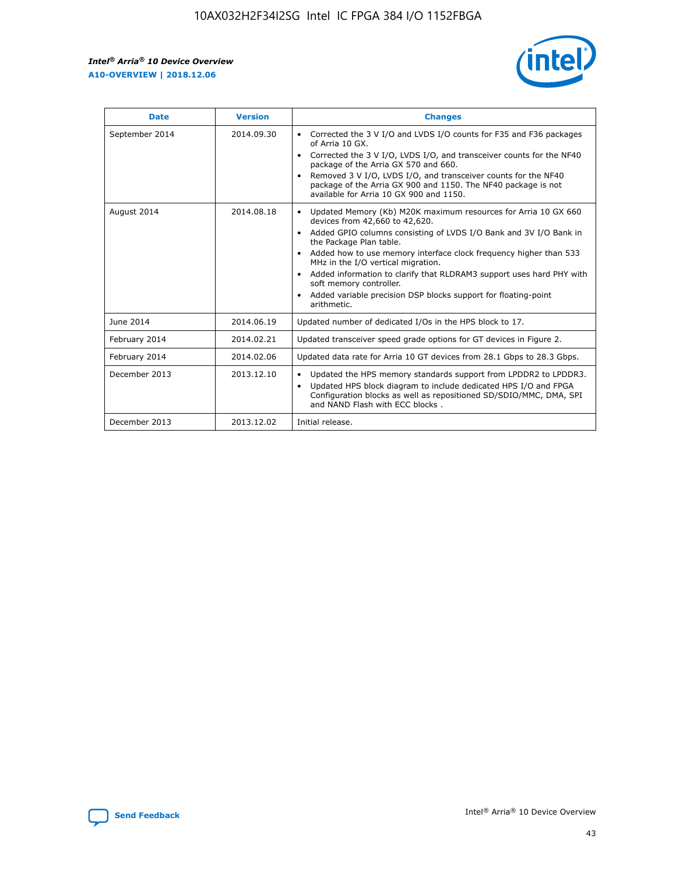r



| <b>Date</b>    | <b>Version</b> | <b>Changes</b>                                                                                                                                                                                                                                                                                                                                                                                                                                                                                                                         |
|----------------|----------------|----------------------------------------------------------------------------------------------------------------------------------------------------------------------------------------------------------------------------------------------------------------------------------------------------------------------------------------------------------------------------------------------------------------------------------------------------------------------------------------------------------------------------------------|
| September 2014 | 2014.09.30     | Corrected the 3 V I/O and LVDS I/O counts for F35 and F36 packages<br>of Arria 10 GX.<br>Corrected the 3 V I/O, LVDS I/O, and transceiver counts for the NF40<br>$\bullet$<br>package of the Arria GX 570 and 660.<br>Removed 3 V I/O, LVDS I/O, and transceiver counts for the NF40<br>package of the Arria GX 900 and 1150. The NF40 package is not<br>available for Arria 10 GX 900 and 1150.                                                                                                                                       |
| August 2014    | 2014.08.18     | Updated Memory (Kb) M20K maximum resources for Arria 10 GX 660<br>devices from 42,660 to 42,620.<br>Added GPIO columns consisting of LVDS I/O Bank and 3V I/O Bank in<br>$\bullet$<br>the Package Plan table.<br>Added how to use memory interface clock frequency higher than 533<br>$\bullet$<br>MHz in the I/O vertical migration.<br>Added information to clarify that RLDRAM3 support uses hard PHY with<br>$\bullet$<br>soft memory controller.<br>Added variable precision DSP blocks support for floating-point<br>arithmetic. |
| June 2014      | 2014.06.19     | Updated number of dedicated I/Os in the HPS block to 17.                                                                                                                                                                                                                                                                                                                                                                                                                                                                               |
| February 2014  | 2014.02.21     | Updated transceiver speed grade options for GT devices in Figure 2.                                                                                                                                                                                                                                                                                                                                                                                                                                                                    |
| February 2014  | 2014.02.06     | Updated data rate for Arria 10 GT devices from 28.1 Gbps to 28.3 Gbps.                                                                                                                                                                                                                                                                                                                                                                                                                                                                 |
| December 2013  | 2013.12.10     | Updated the HPS memory standards support from LPDDR2 to LPDDR3.<br>Updated HPS block diagram to include dedicated HPS I/O and FPGA<br>$\bullet$<br>Configuration blocks as well as repositioned SD/SDIO/MMC, DMA, SPI<br>and NAND Flash with ECC blocks.                                                                                                                                                                                                                                                                               |
| December 2013  | 2013.12.02     | Initial release.                                                                                                                                                                                                                                                                                                                                                                                                                                                                                                                       |